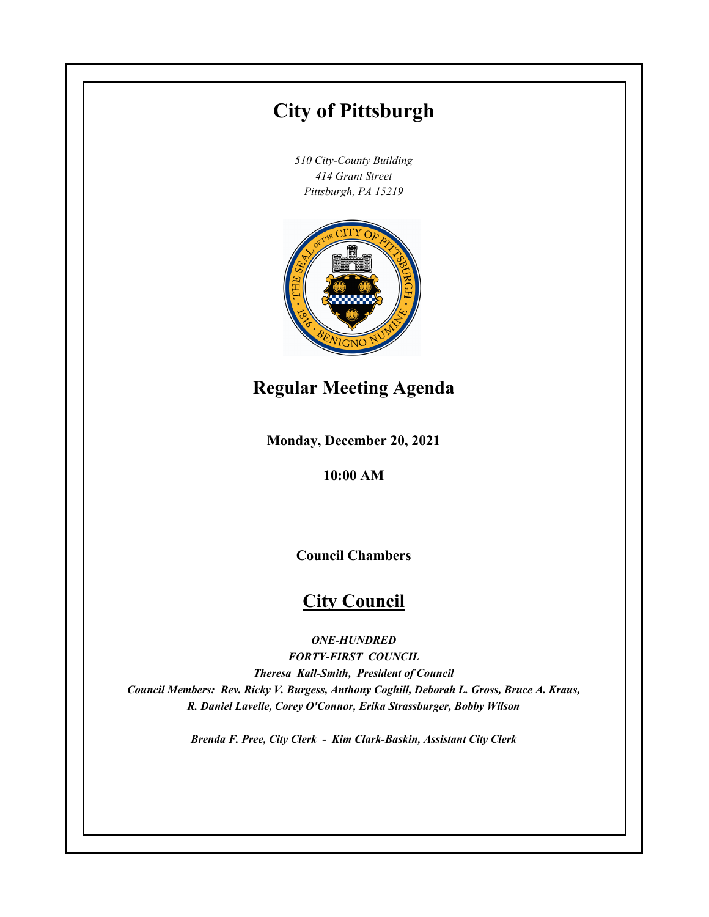# **City of Pittsburgh**

*510 City-County Building 414 Grant Street Pittsburgh, PA 15219*



## **Regular Meeting Agenda**

**Monday, December 20, 2021**

**10:00 AM**

**Council Chambers**

## **City Council**

*ONE-HUNDRED*

*FORTY-FIRST COUNCIL Theresa Kail-Smith, President of Council Council Members: Rev. Ricky V. Burgess, Anthony Coghill, Deborah L. Gross, Bruce A. Kraus, R. Daniel Lavelle, Corey O'Connor, Erika Strassburger, Bobby Wilson*

*Brenda F. Pree, City Clerk - Kim Clark-Baskin, Assistant City Clerk*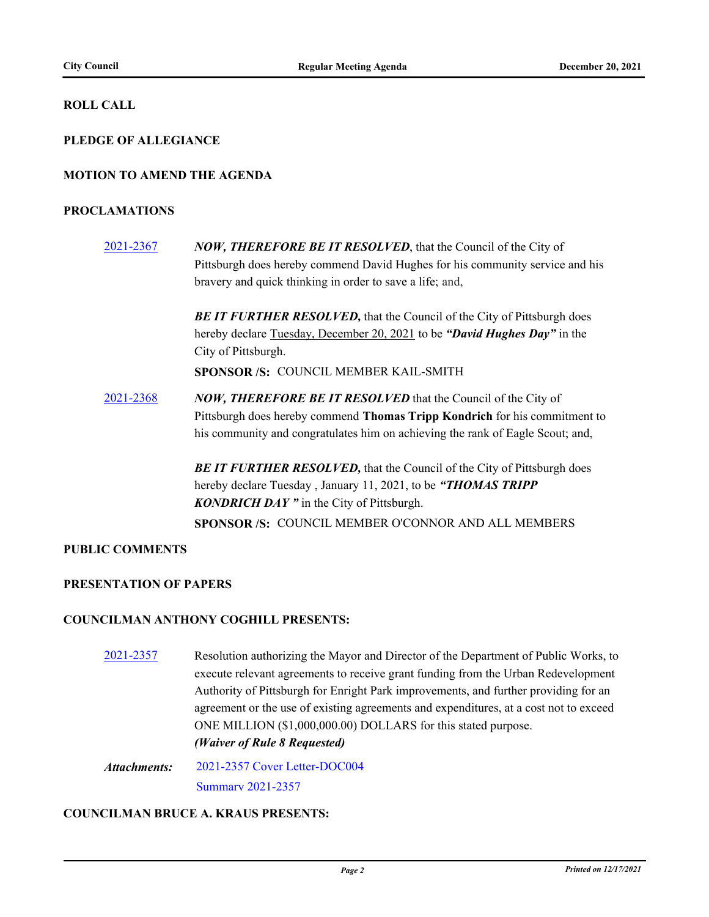#### **ROLL CALL**

#### **PLEDGE OF ALLEGIANCE**

#### **MOTION TO AMEND THE AGENDA**

#### **PROCLAMATIONS**

[2021-2367](http://pittsburgh.legistar.com/gateway.aspx?m=l&id=/matter.aspx?key=27275) *NOW, THEREFORE BE IT RESOLVED*, that the Council of the City of Pittsburgh does hereby commend David Hughes for his community service and his bravery and quick thinking in order to save a life; and,

> **BE IT FURTHER RESOLVED, that the Council of the City of Pittsburgh does** hereby declare Tuesday, December 20, 2021 to be *"David Hughes Day"* in the City of Pittsburgh.

**SPONSOR /S:** COUNCIL MEMBER KAIL-SMITH

[2021-2368](http://pittsburgh.legistar.com/gateway.aspx?m=l&id=/matter.aspx?key=27276) *NOW, THEREFORE BE IT RESOLVED* that the Council of the City of Pittsburgh does hereby commend **Thomas Tripp Kondrich** for his commitment to his community and congratulates him on achieving the rank of Eagle Scout; and,

> **BE IT FURTHER RESOLVED, that the Council of the City of Pittsburgh does** hereby declare Tuesday , January 11, 2021, to be *"THOMAS TRIPP KONDRICH DAY "* in the City of Pittsburgh. **SPONSOR /S:** COUNCIL MEMBER O'CONNOR AND ALL MEMBERS

#### **PUBLIC COMMENTS**

#### **PRESENTATION OF PAPERS**

#### **COUNCILMAN ANTHONY COGHILL PRESENTS:**

- [2021-2357](http://pittsburgh.legistar.com/gateway.aspx?m=l&id=/matter.aspx?key=27265) Resolution authorizing the Mayor and Director of the Department of Public Works, to execute relevant agreements to receive grant funding from the Urban Redevelopment Authority of Pittsburgh for Enright Park improvements, and further providing for an agreement or the use of existing agreements and expenditures, at a cost not to exceed ONE MILLION (\$1,000,000.00) DOLLARS for this stated purpose. *(Waiver of Rule 8 Requested)*
- [2021-2357 Cover Letter-DOC004](http://pittsburgh.legistar.com/gateway.aspx?M=F&ID=66714af3-aede-4517-b384-e4b816e18685.PDF) [Summary 2021-2357](http://pittsburgh.legistar.com/gateway.aspx?M=F&ID=6a89c556-ab21-4858-b74c-adc66aec33fa.docx) *Attachments:*

#### **COUNCILMAN BRUCE A. KRAUS PRESENTS:**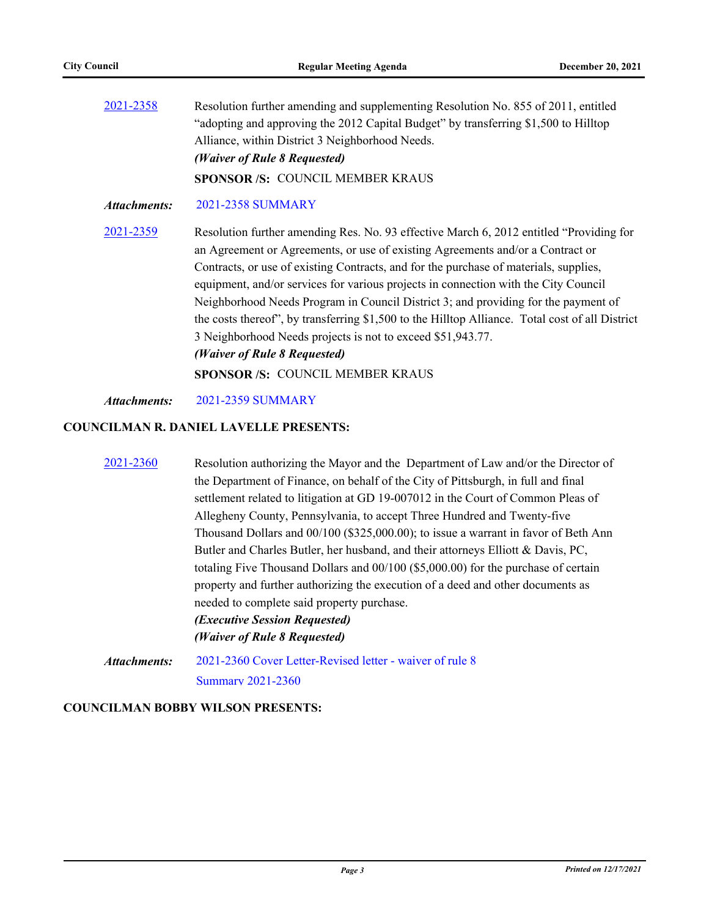| 2021-2358    | Resolution further amending and supplementing Resolution No. 855 of 2011, entitled<br>"adopting and approving the 2012 Capital Budget" by transferring \$1,500 to Hilltop<br>Alliance, within District 3 Neighborhood Needs. |  |  |  |  |
|--------------|------------------------------------------------------------------------------------------------------------------------------------------------------------------------------------------------------------------------------|--|--|--|--|
|              |                                                                                                                                                                                                                              |  |  |  |  |
|              |                                                                                                                                                                                                                              |  |  |  |  |
|              | (Waiver of Rule 8 Requested)                                                                                                                                                                                                 |  |  |  |  |
|              | <b>SPONSOR/S: COUNCIL MEMBER KRAUS</b>                                                                                                                                                                                       |  |  |  |  |
| Attachments: | 2021-2358 SUMMARY                                                                                                                                                                                                            |  |  |  |  |
| 2021.2250    | $\mathbf{r}$ and $\mathbf{r}$ and $\mathbf{r}$ and $\mathbf{r}$ and $\mathbf{r}$ and $\mathbf{r}$ and $\mathbf{r}$ and $\mathbf{r}$ and $\mathbf{r}$                                                                         |  |  |  |  |

[2021-2359](http://pittsburgh.legistar.com/gateway.aspx?m=l&id=/matter.aspx?key=27267) Resolution further amending Res. No. 93 effective March 6, 2012 entitled "Providing for an Agreement or Agreements, or use of existing Agreements and/or a Contract or Contracts, or use of existing Contracts, and for the purchase of materials, supplies, equipment, and/or services for various projects in connection with the City Council Neighborhood Needs Program in Council District 3; and providing for the payment of the costs thereof", by transferring \$1,500 to the Hilltop Alliance. Total cost of all District 3 Neighborhood Needs projects is not to exceed \$51,943.77. *(Waiver of Rule 8 Requested)*

**SPONSOR /S:** COUNCIL MEMBER KRAUS

#### *Attachments:* [2021-2359 SUMMARY](http://pittsburgh.legistar.com/gateway.aspx?M=F&ID=1b277b74-7ceb-4c67-b3ec-9efea5866188.docx)

#### **COUNCILMAN R. DANIEL LAVELLE PRESENTS:**

| 2021-2360    | Resolution authorizing the Mayor and the Department of Law and/or the Director of    |  |  |  |  |  |
|--------------|--------------------------------------------------------------------------------------|--|--|--|--|--|
|              | the Department of Finance, on behalf of the City of Pittsburgh, in full and final    |  |  |  |  |  |
|              | settlement related to litigation at GD 19-007012 in the Court of Common Pleas of     |  |  |  |  |  |
|              | Allegheny County, Pennsylvania, to accept Three Hundred and Twenty-five              |  |  |  |  |  |
|              | Thousand Dollars and 00/100 (\$325,000.00); to issue a warrant in favor of Beth Ann  |  |  |  |  |  |
|              | Butler and Charles Butler, her husband, and their attorneys Elliott & Davis, PC,     |  |  |  |  |  |
|              | totaling Five Thousand Dollars and $00/100$ (\$5,000.00) for the purchase of certain |  |  |  |  |  |
|              | property and further authorizing the execution of a deed and other documents as      |  |  |  |  |  |
|              | needed to complete said property purchase.                                           |  |  |  |  |  |
|              | <i>(Executive Session Requested)</i>                                                 |  |  |  |  |  |
|              | (Waiver of Rule 8 Requested)                                                         |  |  |  |  |  |
| Attachments: | 2021-2360 Cover Letter-Revised letter - waiver of rule 8                             |  |  |  |  |  |

[Summary 2021-2360](http://pittsburgh.legistar.com/gateway.aspx?M=F&ID=42d0eebf-a5e8-4158-91a1-52f5b745d96e.docx)

#### **COUNCILMAN BOBBY WILSON PRESENTS:**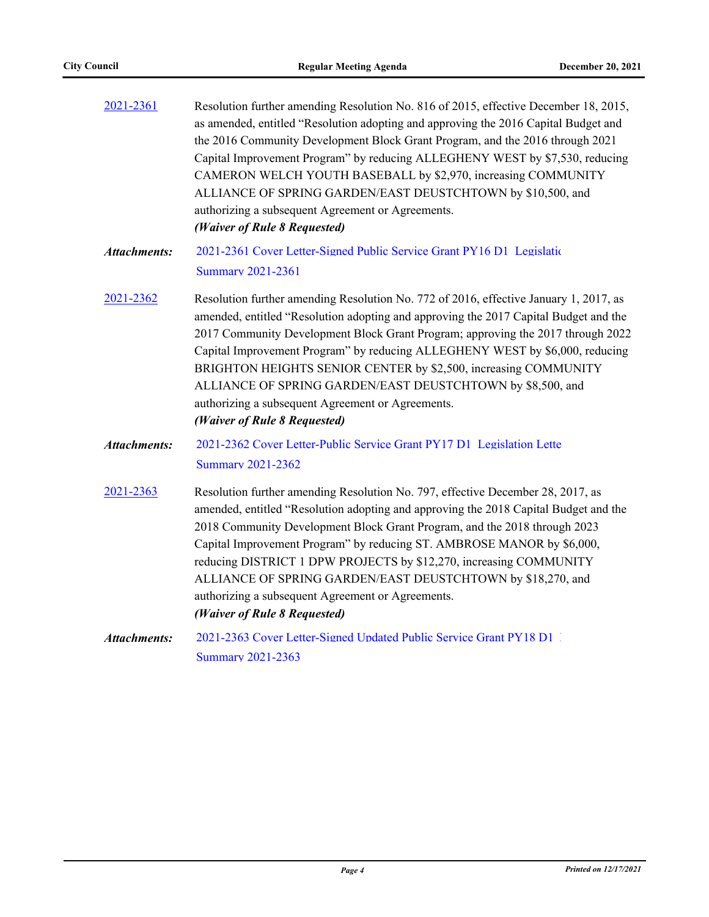| 2021-2361           | Resolution further amending Resolution No. 816 of 2015, effective December 18, 2015,<br>as amended, entitled "Resolution adopting and approving the 2016 Capital Budget and<br>the 2016 Community Development Block Grant Program, and the 2016 through 2021<br>Capital Improvement Program" by reducing ALLEGHENY WEST by \$7,530, reducing<br>CAMERON WELCH YOUTH BASEBALL by \$2,970, increasing COMMUNITY<br>ALLIANCE OF SPRING GARDEN/EAST DEUSTCHTOWN by \$10,500, and<br>authorizing a subsequent Agreement or Agreements.<br>(Waiver of Rule 8 Requested)      |
|---------------------|------------------------------------------------------------------------------------------------------------------------------------------------------------------------------------------------------------------------------------------------------------------------------------------------------------------------------------------------------------------------------------------------------------------------------------------------------------------------------------------------------------------------------------------------------------------------|
| <b>Attachments:</b> | 2021-2361 Cover Letter-Signed Public Service Grant PY16 D1 Legislatic<br><b>Summary 2021-2361</b>                                                                                                                                                                                                                                                                                                                                                                                                                                                                      |
| 2021-2362           | Resolution further amending Resolution No. 772 of 2016, effective January 1, 2017, as<br>amended, entitled "Resolution adopting and approving the 2017 Capital Budget and the<br>2017 Community Development Block Grant Program; approving the 2017 through 2022<br>Capital Improvement Program" by reducing ALLEGHENY WEST by \$6,000, reducing<br>BRIGHTON HEIGHTS SENIOR CENTER by \$2,500, increasing COMMUNITY<br>ALLIANCE OF SPRING GARDEN/EAST DEUSTCHTOWN by \$8,500, and<br>authorizing a subsequent Agreement or Agreements.<br>(Waiver of Rule 8 Requested) |
| <b>Attachments:</b> | 2021-2362 Cover Letter-Public Service Grant PY17 D1 Legislation Lette<br><b>Summary 2021-2362</b>                                                                                                                                                                                                                                                                                                                                                                                                                                                                      |
| 2021-2363           | Resolution further amending Resolution No. 797, effective December 28, 2017, as<br>amended, entitled "Resolution adopting and approving the 2018 Capital Budget and the<br>2018 Community Development Block Grant Program, and the 2018 through 2023<br>Capital Improvement Program" by reducing ST. AMBROSE MANOR by \$6,000,<br>reducing DISTRICT 1 DPW PROJECTS by \$12,270, increasing COMMUNITY<br>ALLIANCE OF SPRING GARDEN/EAST DEUSTCHTOWN by \$18,270, and<br>authorizing a subsequent Agreement or Agreements.<br>(Waiver of Rule 8 Requested)               |
| <b>Attachments:</b> | 2021-2363 Cover Letter-Signed Updated Public Service Grant PY18 D1<br><b>Summary 2021-2363</b>                                                                                                                                                                                                                                                                                                                                                                                                                                                                         |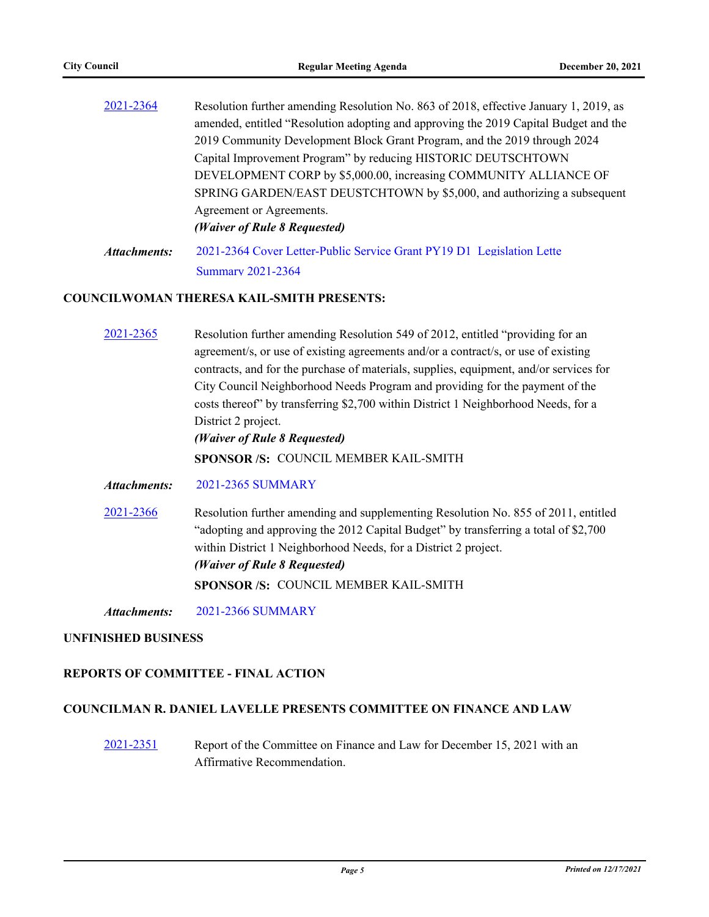| 2021-2364    | Resolution further amending Resolution No. 863 of 2018, effective January 1, 2019, as |
|--------------|---------------------------------------------------------------------------------------|
|              | amended, entitled "Resolution adopting and approving the 2019 Capital Budget and the  |
|              | 2019 Community Development Block Grant Program, and the 2019 through 2024             |
|              | Capital Improvement Program" by reducing HISTORIC DEUTSCHTOWN                         |
|              | DEVELOPMENT CORP by \$5,000.00, increasing COMMUNITY ALLIANCE OF                      |
|              | SPRING GARDEN/EAST DEUSTCHTOWN by \$5,000, and authorizing a subsequent               |
|              | Agreement or Agreements.                                                              |
|              | (Waiver of Rule 8 Requested)                                                          |
| Attachments: | 2021-2364 Cover Letter-Public Service Grant PY19 D1 Legislation Lette                 |

[Summary 2021-2364](http://pittsburgh.legistar.com/gateway.aspx?M=F&ID=4c4d2808-b2c4-449a-81e3-d56bf5c77611.docx)

#### **COUNCILWOMAN THERESA KAIL-SMITH PRESENTS:**

[2021-2365](http://pittsburgh.legistar.com/gateway.aspx?m=l&id=/matter.aspx?key=27273) Resolution further amending Resolution 549 of 2012, entitled "providing for an agreement/s, or use of existing agreements and/or a contract/s, or use of existing contracts, and for the purchase of materials, supplies, equipment, and/or services for City Council Neighborhood Needs Program and providing for the payment of the costs thereof" by transferring \$2,700 within District 1 Neighborhood Needs, for a District 2 project. *(Waiver of Rule 8 Requested)*

**SPONSOR /S:** COUNCIL MEMBER KAIL-SMITH

- *Attachments:* [2021-2365 SUMMARY](http://pittsburgh.legistar.com/gateway.aspx?M=F&ID=8c69f1e7-ab86-4992-954c-e2689d5f9a68.docx)
- [2021-2366](http://pittsburgh.legistar.com/gateway.aspx?m=l&id=/matter.aspx?key=27274) Resolution further amending and supplementing Resolution No. 855 of 2011, entitled "adopting and approving the 2012 Capital Budget" by transferring a total of \$2,700 within District 1 Neighborhood Needs, for a District 2 project. *(Waiver of Rule 8 Requested)* **SPONSOR /S:** COUNCIL MEMBER KAIL-SMITH

*Attachments:* [2021-2366 SUMMARY](http://pittsburgh.legistar.com/gateway.aspx?M=F&ID=96fdee35-0f2f-4ddd-b582-4d55725be309.docx)

#### **UNFINISHED BUSINESS**

#### **REPORTS OF COMMITTEE - FINAL ACTION**

#### **COUNCILMAN R. DANIEL LAVELLE PRESENTS COMMITTEE ON FINANCE AND LAW**

[2021-2351](http://pittsburgh.legistar.com/gateway.aspx?m=l&id=/matter.aspx?key=27255) Report of the Committee on Finance and Law for December 15, 2021 with an Affirmative Recommendation.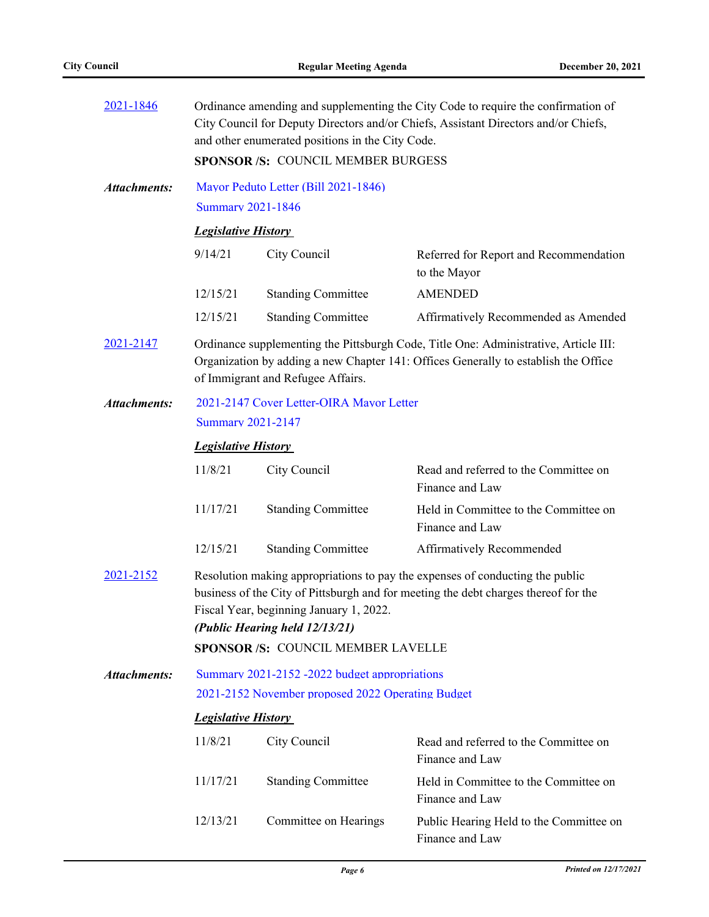| 2021-1846           | Ordinance amending and supplementing the City Code to require the confirmation of<br>City Council for Deputy Directors and/or Chiefs, Assistant Directors and/or Chiefs,<br>and other enumerated positions in the City Code.                                                                   |                                          |                                                            |  |  |  |
|---------------------|------------------------------------------------------------------------------------------------------------------------------------------------------------------------------------------------------------------------------------------------------------------------------------------------|------------------------------------------|------------------------------------------------------------|--|--|--|
|                     |                                                                                                                                                                                                                                                                                                | <b>SPONSOR/S: COUNCIL MEMBER BURGESS</b> |                                                            |  |  |  |
| <b>Attachments:</b> | <b>Summary 2021-1846</b>                                                                                                                                                                                                                                                                       | Mayor Peduto Letter (Bill 2021-1846)     |                                                            |  |  |  |
|                     | <b>Legislative History</b>                                                                                                                                                                                                                                                                     |                                          |                                                            |  |  |  |
|                     | 9/14/21                                                                                                                                                                                                                                                                                        | City Council                             | Referred for Report and Recommendation<br>to the Mayor     |  |  |  |
|                     | 12/15/21                                                                                                                                                                                                                                                                                       | <b>Standing Committee</b>                | <b>AMENDED</b>                                             |  |  |  |
|                     | 12/15/21                                                                                                                                                                                                                                                                                       | <b>Standing Committee</b>                | Affirmatively Recommended as Amended                       |  |  |  |
| 2021-2147           | Ordinance supplementing the Pittsburgh Code, Title One: Administrative, Article III:<br>Organization by adding a new Chapter 141: Offices Generally to establish the Office<br>of Immigrant and Refugee Affairs.                                                                               |                                          |                                                            |  |  |  |
| <b>Attachments:</b> |                                                                                                                                                                                                                                                                                                | 2021-2147 Cover Letter-OIRA Mayor Letter |                                                            |  |  |  |
|                     | <b>Summary 2021-2147</b>                                                                                                                                                                                                                                                                       |                                          |                                                            |  |  |  |
|                     |                                                                                                                                                                                                                                                                                                | <b>Legislative History</b>               |                                                            |  |  |  |
|                     | 11/8/21                                                                                                                                                                                                                                                                                        | City Council                             | Read and referred to the Committee on<br>Finance and Law   |  |  |  |
|                     | 11/17/21                                                                                                                                                                                                                                                                                       | <b>Standing Committee</b>                | Held in Committee to the Committee on<br>Finance and Law   |  |  |  |
|                     | 12/15/21                                                                                                                                                                                                                                                                                       | <b>Standing Committee</b>                | Affirmatively Recommended                                  |  |  |  |
| 2021-2152           | Resolution making appropriations to pay the expenses of conducting the public<br>business of the City of Pittsburgh and for meeting the debt charges thereof for the<br>Fiscal Year, beginning January 1, 2022.<br>(Public Hearing held 12/13/21)<br><b>SPONSOR /S: COUNCIL MEMBER LAVELLE</b> |                                          |                                                            |  |  |  |
| Attachments:        | Summary 2021-2152-2022 budget appropriations                                                                                                                                                                                                                                                   |                                          |                                                            |  |  |  |
|                     | 2021-2152 November proposed 2022 Operating Budget                                                                                                                                                                                                                                              |                                          |                                                            |  |  |  |
|                     | <b>Legislative History</b>                                                                                                                                                                                                                                                                     |                                          |                                                            |  |  |  |
|                     | 11/8/21                                                                                                                                                                                                                                                                                        | City Council                             | Read and referred to the Committee on<br>Finance and Law   |  |  |  |
|                     | 11/17/21                                                                                                                                                                                                                                                                                       | <b>Standing Committee</b>                | Held in Committee to the Committee on<br>Finance and Law   |  |  |  |
|                     | 12/13/21                                                                                                                                                                                                                                                                                       | Committee on Hearings                    | Public Hearing Held to the Committee on<br>Finance and Law |  |  |  |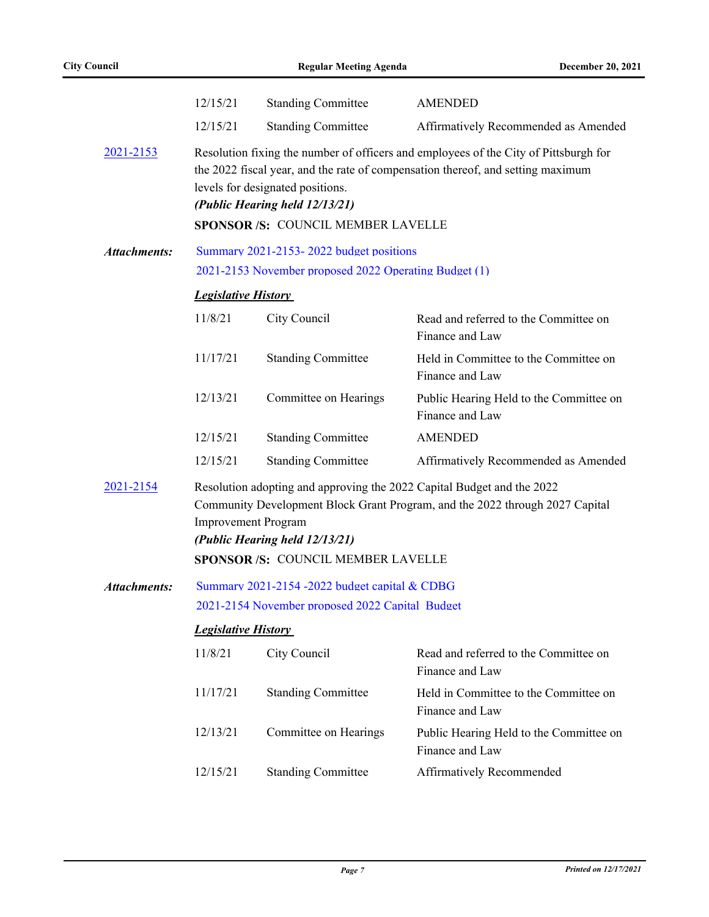|                     | 12/15/21                                                                                                                                                                                                                                                     | <b>Standing Committee</b>                                                                                | <b>AMENDED</b>                                                                                                                                                          |  |
|---------------------|--------------------------------------------------------------------------------------------------------------------------------------------------------------------------------------------------------------------------------------------------------------|----------------------------------------------------------------------------------------------------------|-------------------------------------------------------------------------------------------------------------------------------------------------------------------------|--|
|                     | 12/15/21                                                                                                                                                                                                                                                     | <b>Standing Committee</b>                                                                                | Affirmatively Recommended as Amended                                                                                                                                    |  |
| 2021-2153           |                                                                                                                                                                                                                                                              | levels for designated positions.<br>(Public Hearing held 12/13/21)<br>SPONSOR /S: COUNCIL MEMBER LAVELLE | Resolution fixing the number of officers and employees of the City of Pittsburgh for<br>the 2022 fiscal year, and the rate of compensation thereof, and setting maximum |  |
| <b>Attachments:</b> |                                                                                                                                                                                                                                                              | Summary 2021-2153-2022 budget positions                                                                  |                                                                                                                                                                         |  |
|                     |                                                                                                                                                                                                                                                              | 2021-2153 November proposed 2022 Operating Budget (1)                                                    |                                                                                                                                                                         |  |
|                     | <b>Legislative History</b>                                                                                                                                                                                                                                   |                                                                                                          |                                                                                                                                                                         |  |
|                     | 11/8/21                                                                                                                                                                                                                                                      | City Council                                                                                             | Read and referred to the Committee on<br>Finance and Law                                                                                                                |  |
|                     | 11/17/21                                                                                                                                                                                                                                                     | <b>Standing Committee</b>                                                                                | Held in Committee to the Committee on<br>Finance and Law                                                                                                                |  |
|                     | 12/13/21                                                                                                                                                                                                                                                     | Committee on Hearings                                                                                    | Public Hearing Held to the Committee on<br>Finance and Law                                                                                                              |  |
|                     | 12/15/21                                                                                                                                                                                                                                                     | <b>Standing Committee</b>                                                                                | <b>AMENDED</b>                                                                                                                                                          |  |
|                     | 12/15/21                                                                                                                                                                                                                                                     | <b>Standing Committee</b>                                                                                | Affirmatively Recommended as Amended                                                                                                                                    |  |
| 2021-2154           | Resolution adopting and approving the 2022 Capital Budget and the 2022<br>Community Development Block Grant Program, and the 2022 through 2027 Capital<br><b>Improvement Program</b><br>(Public Hearing held 12/13/21)<br>SPONSOR /S: COUNCIL MEMBER LAVELLE |                                                                                                          |                                                                                                                                                                         |  |
| <b>Attachments:</b> | Summary 2021-2154 -2022 budget capital & CDBG                                                                                                                                                                                                                |                                                                                                          |                                                                                                                                                                         |  |
|                     | 2021-2154 November proposed 2022 Capital Budget                                                                                                                                                                                                              |                                                                                                          |                                                                                                                                                                         |  |
|                     | <b>Legislative History</b>                                                                                                                                                                                                                                   |                                                                                                          |                                                                                                                                                                         |  |
|                     | 11/8/21                                                                                                                                                                                                                                                      | City Council                                                                                             | Read and referred to the Committee on<br>Finance and Law                                                                                                                |  |
|                     | 11/17/21                                                                                                                                                                                                                                                     | <b>Standing Committee</b>                                                                                | Held in Committee to the Committee on<br>Finance and Law                                                                                                                |  |
|                     | 12/13/21                                                                                                                                                                                                                                                     | Committee on Hearings                                                                                    | Public Hearing Held to the Committee on<br>Finance and Law                                                                                                              |  |
|                     | 12/15/21                                                                                                                                                                                                                                                     | <b>Standing Committee</b>                                                                                | Affirmatively Recommended                                                                                                                                               |  |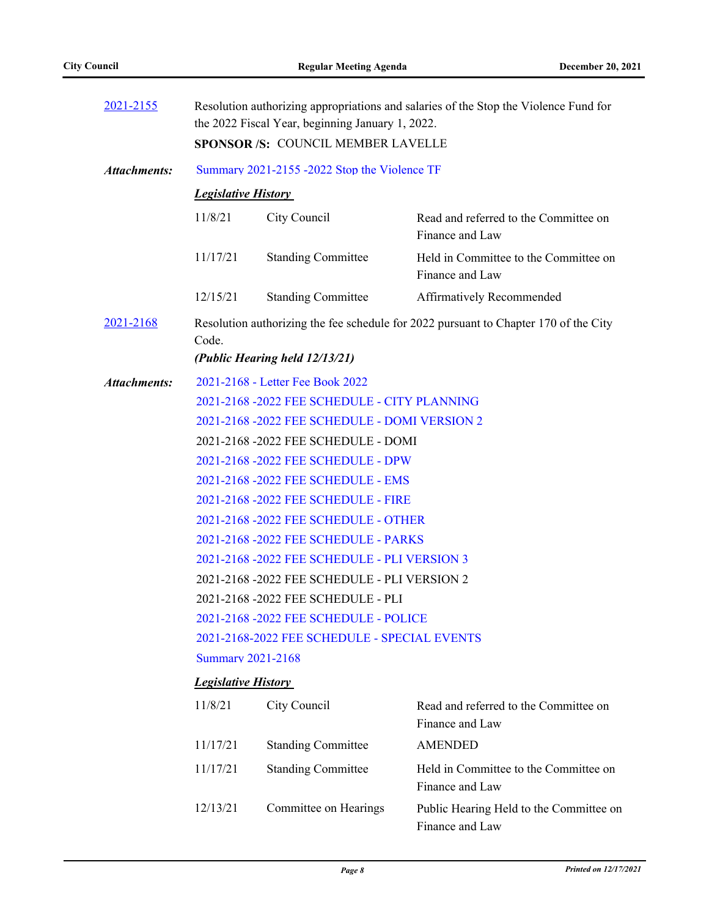| 2021-2155           | Resolution authorizing appropriations and salaries of the Stop the Violence Fund for<br>the 2022 Fiscal Year, beginning January 1, 2022. |                                              |                                                                                      |  |  |  |
|---------------------|------------------------------------------------------------------------------------------------------------------------------------------|----------------------------------------------|--------------------------------------------------------------------------------------|--|--|--|
|                     |                                                                                                                                          | SPONSOR /S: COUNCIL MEMBER LAVELLE           |                                                                                      |  |  |  |
| <b>Attachments:</b> |                                                                                                                                          | Summary 2021-2155 -2022 Stop the Violence TF |                                                                                      |  |  |  |
|                     | <b>Legislative History</b>                                                                                                               |                                              |                                                                                      |  |  |  |
|                     | 11/8/21                                                                                                                                  | City Council                                 | Read and referred to the Committee on<br>Finance and Law                             |  |  |  |
|                     | 11/17/21                                                                                                                                 | <b>Standing Committee</b>                    | Held in Committee to the Committee on<br>Finance and Law                             |  |  |  |
|                     | 12/15/21                                                                                                                                 | <b>Standing Committee</b>                    | Affirmatively Recommended                                                            |  |  |  |
| 2021-2168           | Code.                                                                                                                                    |                                              | Resolution authorizing the fee schedule for 2022 pursuant to Chapter 170 of the City |  |  |  |
|                     |                                                                                                                                          | (Public Hearing held 12/13/21)               |                                                                                      |  |  |  |
| <b>Attachments:</b> |                                                                                                                                          | 2021-2168 - Letter Fee Book 2022             |                                                                                      |  |  |  |
|                     | 2021-2168 -2022 FEE SCHEDULE - CITY PLANNING                                                                                             |                                              |                                                                                      |  |  |  |
|                     | 2021-2168 -2022 FEE SCHEDULE - DOMI VERSION 2                                                                                            |                                              |                                                                                      |  |  |  |
|                     | 2021-2168 -2022 FEE SCHEDULE - DOMI                                                                                                      |                                              |                                                                                      |  |  |  |
|                     | 2021-2168 -2022 FEE SCHEDULE - DPW                                                                                                       |                                              |                                                                                      |  |  |  |
|                     | 2021-2168 -2022 FEE SCHEDULE - EMS                                                                                                       |                                              |                                                                                      |  |  |  |
|                     |                                                                                                                                          | 2021-2168 -2022 FEE SCHEDULE - FIRE          |                                                                                      |  |  |  |
|                     | 2021-2168 -2022 FEE SCHEDULE - OTHER                                                                                                     |                                              |                                                                                      |  |  |  |
|                     | 2021-2168 -2022 FEE SCHEDULE - PARKS                                                                                                     |                                              |                                                                                      |  |  |  |
|                     | 2021-2168 -2022 FEE SCHEDULE - PLI VERSION 3                                                                                             |                                              |                                                                                      |  |  |  |
|                     | 2021-2168 -2022 FEE SCHEDULE - PLI VERSION 2                                                                                             |                                              |                                                                                      |  |  |  |
|                     | 2021-2168 -2022 FEE SCHEDULE - PLI                                                                                                       |                                              |                                                                                      |  |  |  |
|                     | 2021-2168 -2022 FEE SCHEDULE - POLICE                                                                                                    |                                              |                                                                                      |  |  |  |
|                     | 2021-2168-2022 FEE SCHEDULE - SPECIAL EVENTS                                                                                             |                                              |                                                                                      |  |  |  |
|                     | <b>Summary 2021-2168</b>                                                                                                                 |                                              |                                                                                      |  |  |  |
|                     | <b>Legislative History</b>                                                                                                               |                                              |                                                                                      |  |  |  |
|                     | 11/8/21                                                                                                                                  | City Council                                 | Read and referred to the Committee on<br>Finance and Law                             |  |  |  |
|                     | 11/17/21                                                                                                                                 | <b>Standing Committee</b>                    | <b>AMENDED</b>                                                                       |  |  |  |
|                     | 11/17/21                                                                                                                                 | <b>Standing Committee</b>                    | Held in Committee to the Committee on<br>Finance and Law                             |  |  |  |
|                     | 12/13/21                                                                                                                                 | Committee on Hearings                        | Public Hearing Held to the Committee on<br>Finance and Law                           |  |  |  |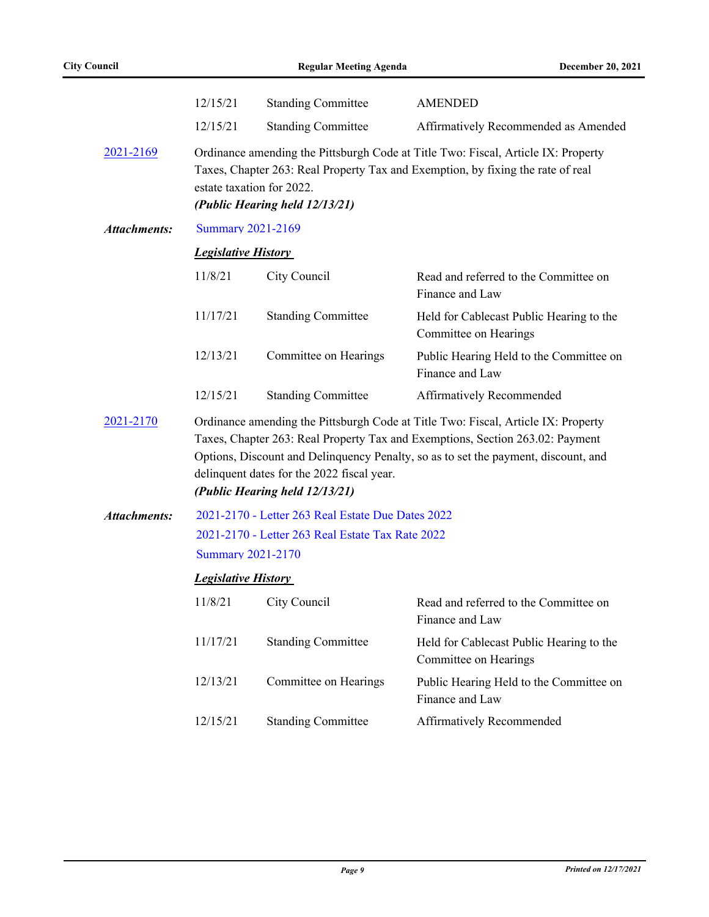|                     | 12/15/21                                                                                                                                                                                                                                                                                                                                 | <b>Standing Committee</b>                         | <b>AMENDED</b>                                                                                                                                                       |
|---------------------|------------------------------------------------------------------------------------------------------------------------------------------------------------------------------------------------------------------------------------------------------------------------------------------------------------------------------------------|---------------------------------------------------|----------------------------------------------------------------------------------------------------------------------------------------------------------------------|
|                     | 12/15/21                                                                                                                                                                                                                                                                                                                                 | <b>Standing Committee</b>                         | Affirmatively Recommended as Amended                                                                                                                                 |
| 2021-2169           | estate taxation for 2022.                                                                                                                                                                                                                                                                                                                | (Public Hearing held 12/13/21)                    | Ordinance amending the Pittsburgh Code at Title Two: Fiscal, Article IX: Property<br>Taxes, Chapter 263: Real Property Tax and Exemption, by fixing the rate of real |
| Attachments:        | <b>Summary 2021-2169</b>                                                                                                                                                                                                                                                                                                                 |                                                   |                                                                                                                                                                      |
|                     | <b>Legislative History</b>                                                                                                                                                                                                                                                                                                               |                                                   |                                                                                                                                                                      |
|                     | 11/8/21                                                                                                                                                                                                                                                                                                                                  | City Council                                      | Read and referred to the Committee on<br>Finance and Law                                                                                                             |
|                     | 11/17/21                                                                                                                                                                                                                                                                                                                                 | <b>Standing Committee</b>                         | Held for Cablecast Public Hearing to the<br>Committee on Hearings                                                                                                    |
|                     | 12/13/21                                                                                                                                                                                                                                                                                                                                 | Committee on Hearings                             | Public Hearing Held to the Committee on<br>Finance and Law                                                                                                           |
|                     | 12/15/21                                                                                                                                                                                                                                                                                                                                 | <b>Standing Committee</b>                         | Affirmatively Recommended                                                                                                                                            |
| 2021-2170           | Ordinance amending the Pittsburgh Code at Title Two: Fiscal, Article IX: Property<br>Taxes, Chapter 263: Real Property Tax and Exemptions, Section 263.02: Payment<br>Options, Discount and Delinquency Penalty, so as to set the payment, discount, and<br>delinquent dates for the 2022 fiscal year.<br>(Public Hearing held 12/13/21) |                                                   |                                                                                                                                                                      |
| <b>Attachments:</b> |                                                                                                                                                                                                                                                                                                                                          |                                                   |                                                                                                                                                                      |
|                     |                                                                                                                                                                                                                                                                                                                                          | 2021-2170 - Letter 263 Real Estate Due Dates 2022 |                                                                                                                                                                      |
|                     |                                                                                                                                                                                                                                                                                                                                          | 2021-2170 - Letter 263 Real Estate Tax Rate 2022  |                                                                                                                                                                      |
|                     | <b>Summary 2021-2170</b>                                                                                                                                                                                                                                                                                                                 |                                                   |                                                                                                                                                                      |
|                     | <b>Legislative History</b>                                                                                                                                                                                                                                                                                                               |                                                   |                                                                                                                                                                      |
|                     | 11/8/21                                                                                                                                                                                                                                                                                                                                  | City Council                                      | Read and referred to the Committee on<br>Finance and Law                                                                                                             |
|                     | 11/17/21                                                                                                                                                                                                                                                                                                                                 | <b>Standing Committee</b>                         | Held for Cablecast Public Hearing to the<br>Committee on Hearings                                                                                                    |
|                     | 12/13/21                                                                                                                                                                                                                                                                                                                                 | Committee on Hearings                             | Public Hearing Held to the Committee on<br>Finance and Law                                                                                                           |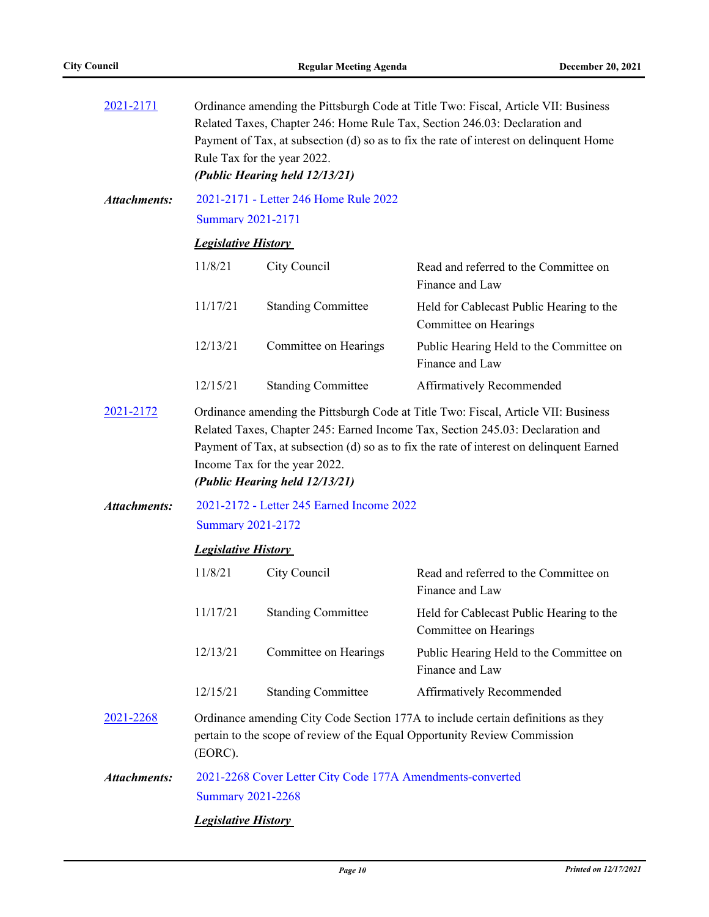| 2021-2171           | Ordinance amending the Pittsburgh Code at Title Two: Fiscal, Article VII: Business<br>Related Taxes, Chapter 246: Home Rule Tax, Section 246.03: Declaration and<br>Payment of Tax, at subsection (d) so as to fix the rate of interest on delinquent Home<br>Rule Tax for the year 2022.<br>(Public Hearing held 12/13/21) |                                                                 |                                                                                                                                                                                                                                                                  |  |
|---------------------|-----------------------------------------------------------------------------------------------------------------------------------------------------------------------------------------------------------------------------------------------------------------------------------------------------------------------------|-----------------------------------------------------------------|------------------------------------------------------------------------------------------------------------------------------------------------------------------------------------------------------------------------------------------------------------------|--|
| <b>Attachments:</b> | <b>Summary 2021-2171</b>                                                                                                                                                                                                                                                                                                    | 2021-2171 - Letter 246 Home Rule 2022                           |                                                                                                                                                                                                                                                                  |  |
|                     | <b>Legislative History</b>                                                                                                                                                                                                                                                                                                  |                                                                 |                                                                                                                                                                                                                                                                  |  |
|                     | 11/8/21                                                                                                                                                                                                                                                                                                                     | City Council                                                    | Read and referred to the Committee on<br>Finance and Law                                                                                                                                                                                                         |  |
|                     | 11/17/21                                                                                                                                                                                                                                                                                                                    | <b>Standing Committee</b>                                       | Held for Cablecast Public Hearing to the<br>Committee on Hearings                                                                                                                                                                                                |  |
|                     | 12/13/21                                                                                                                                                                                                                                                                                                                    | Committee on Hearings                                           | Public Hearing Held to the Committee on<br>Finance and Law                                                                                                                                                                                                       |  |
|                     | 12/15/21                                                                                                                                                                                                                                                                                                                    | <b>Standing Committee</b>                                       | Affirmatively Recommended                                                                                                                                                                                                                                        |  |
| 2021-2172           |                                                                                                                                                                                                                                                                                                                             | Income Tax for the year 2022.<br>(Public Hearing held 12/13/21) | Ordinance amending the Pittsburgh Code at Title Two: Fiscal, Article VII: Business<br>Related Taxes, Chapter 245: Earned Income Tax, Section 245.03: Declaration and<br>Payment of Tax, at subsection (d) so as to fix the rate of interest on delinquent Earned |  |
| <b>Attachments:</b> | 2021-2172 - Letter 245 Earned Income 2022                                                                                                                                                                                                                                                                                   |                                                                 |                                                                                                                                                                                                                                                                  |  |
|                     | <b>Summary 2021-2172</b>                                                                                                                                                                                                                                                                                                    |                                                                 |                                                                                                                                                                                                                                                                  |  |
|                     | <b>Legislative History</b>                                                                                                                                                                                                                                                                                                  |                                                                 |                                                                                                                                                                                                                                                                  |  |
|                     | 11/8/21                                                                                                                                                                                                                                                                                                                     | City Council                                                    | Read and referred to the Committee on<br>Finance and Law                                                                                                                                                                                                         |  |
|                     | 11/17/21                                                                                                                                                                                                                                                                                                                    | <b>Standing Committee</b>                                       | Held for Cablecast Public Hearing to the<br>Committee on Hearings                                                                                                                                                                                                |  |
|                     | 12/13/21                                                                                                                                                                                                                                                                                                                    | Committee on Hearings                                           | Public Hearing Held to the Committee on<br>Finance and Law                                                                                                                                                                                                       |  |
|                     | 12/15/21                                                                                                                                                                                                                                                                                                                    | <b>Standing Committee</b>                                       | Affirmatively Recommended                                                                                                                                                                                                                                        |  |
| 2021-2268           | Ordinance amending City Code Section 177A to include certain definitions as they<br>pertain to the scope of review of the Equal Opportunity Review Commission<br>(EORC).                                                                                                                                                    |                                                                 |                                                                                                                                                                                                                                                                  |  |
| <b>Attachments:</b> | 2021-2268 Cover Letter City Code 177A Amendments-converted                                                                                                                                                                                                                                                                  |                                                                 |                                                                                                                                                                                                                                                                  |  |
|                     | <b>Summary 2021-2268</b>                                                                                                                                                                                                                                                                                                    |                                                                 |                                                                                                                                                                                                                                                                  |  |
|                     | <b>Legislative History</b>                                                                                                                                                                                                                                                                                                  |                                                                 |                                                                                                                                                                                                                                                                  |  |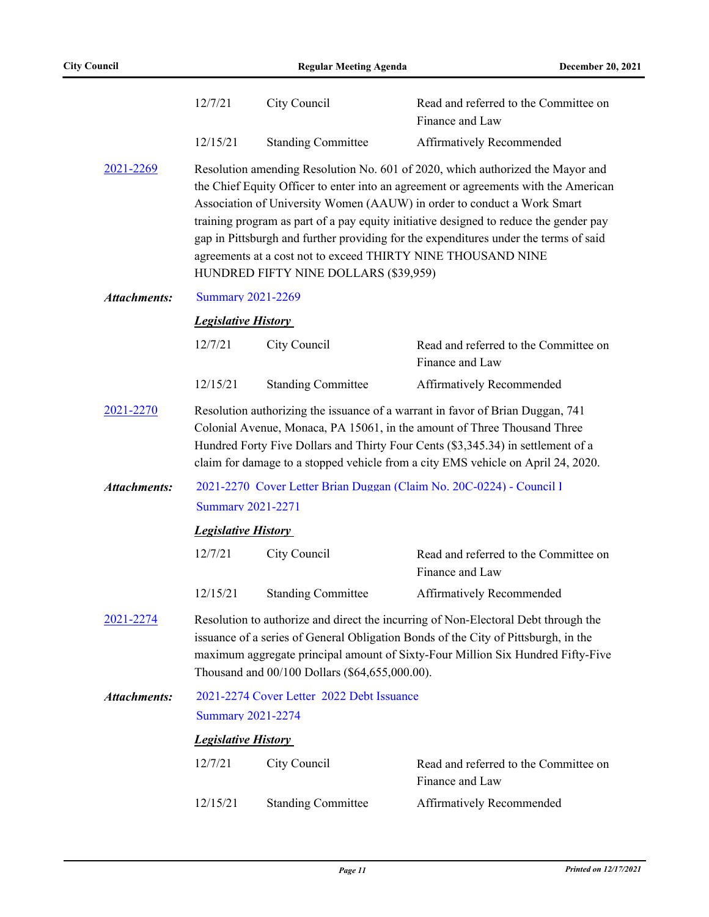|                     | 12/7/21                                                                                                                                                                                                                                                                                                                                                                                                                                                                                                                                    | City Council              | Read and referred to the Committee on<br>Finance and Law |  |
|---------------------|--------------------------------------------------------------------------------------------------------------------------------------------------------------------------------------------------------------------------------------------------------------------------------------------------------------------------------------------------------------------------------------------------------------------------------------------------------------------------------------------------------------------------------------------|---------------------------|----------------------------------------------------------|--|
|                     | 12/15/21                                                                                                                                                                                                                                                                                                                                                                                                                                                                                                                                   | <b>Standing Committee</b> | Affirmatively Recommended                                |  |
| 2021-2269           | Resolution amending Resolution No. 601 of 2020, which authorized the Mayor and<br>the Chief Equity Officer to enter into an agreement or agreements with the American<br>Association of University Women (AAUW) in order to conduct a Work Smart<br>training program as part of a pay equity initiative designed to reduce the gender pay<br>gap in Pittsburgh and further providing for the expenditures under the terms of said<br>agreements at a cost not to exceed THIRTY NINE THOUSAND NINE<br>HUNDRED FIFTY NINE DOLLARS (\$39,959) |                           |                                                          |  |
| <b>Attachments:</b> | <b>Summary 2021-2269</b>                                                                                                                                                                                                                                                                                                                                                                                                                                                                                                                   |                           |                                                          |  |
|                     | <b>Legislative History</b>                                                                                                                                                                                                                                                                                                                                                                                                                                                                                                                 |                           |                                                          |  |
|                     | 12/7/21                                                                                                                                                                                                                                                                                                                                                                                                                                                                                                                                    | City Council              | Read and referred to the Committee on<br>Finance and Law |  |
|                     | 12/15/21                                                                                                                                                                                                                                                                                                                                                                                                                                                                                                                                   | <b>Standing Committee</b> | Affirmatively Recommended                                |  |
| 2021-2270           | Resolution authorizing the issuance of a warrant in favor of Brian Duggan, 741<br>Colonial Avenue, Monaca, PA 15061, in the amount of Three Thousand Three<br>Hundred Forty Five Dollars and Thirty Four Cents (\$3,345.34) in settlement of a<br>claim for damage to a stopped vehicle from a city EMS vehicle on April 24, 2020.                                                                                                                                                                                                         |                           |                                                          |  |
| <b>Attachments:</b> | 2021-2270 Cover Letter Brian Duggan (Claim No. 20C-0224) - Council l                                                                                                                                                                                                                                                                                                                                                                                                                                                                       |                           |                                                          |  |
|                     | <b>Summary 2021-2271</b>                                                                                                                                                                                                                                                                                                                                                                                                                                                                                                                   |                           |                                                          |  |
|                     | <b>Legislative History</b>                                                                                                                                                                                                                                                                                                                                                                                                                                                                                                                 |                           |                                                          |  |
|                     | 12/7/21                                                                                                                                                                                                                                                                                                                                                                                                                                                                                                                                    | City Council              | Read and referred to the Committee on<br>Finance and Law |  |
|                     | 12/15/21                                                                                                                                                                                                                                                                                                                                                                                                                                                                                                                                   | <b>Standing Committee</b> | Affirmatively Recommended                                |  |
| 2021-2274           | Resolution to authorize and direct the incurring of Non-Electoral Debt through the<br>issuance of a series of General Obligation Bonds of the City of Pittsburgh, in the<br>maximum aggregate principal amount of Sixty-Four Million Six Hundred Fifty-Five<br>Thousand and 00/100 Dollars (\$64,655,000.00).                                                                                                                                                                                                                              |                           |                                                          |  |
| <b>Attachments:</b> | 2021-2274 Cover Letter 2022 Debt Issuance                                                                                                                                                                                                                                                                                                                                                                                                                                                                                                  |                           |                                                          |  |
|                     | <b>Summary 2021-2274</b>                                                                                                                                                                                                                                                                                                                                                                                                                                                                                                                   |                           |                                                          |  |
|                     | <b>Legislative History</b>                                                                                                                                                                                                                                                                                                                                                                                                                                                                                                                 |                           |                                                          |  |
|                     | 12/7/21                                                                                                                                                                                                                                                                                                                                                                                                                                                                                                                                    | City Council              | Read and referred to the Committee on<br>Finance and Law |  |
|                     | 12/15/21                                                                                                                                                                                                                                                                                                                                                                                                                                                                                                                                   | <b>Standing Committee</b> | Affirmatively Recommended                                |  |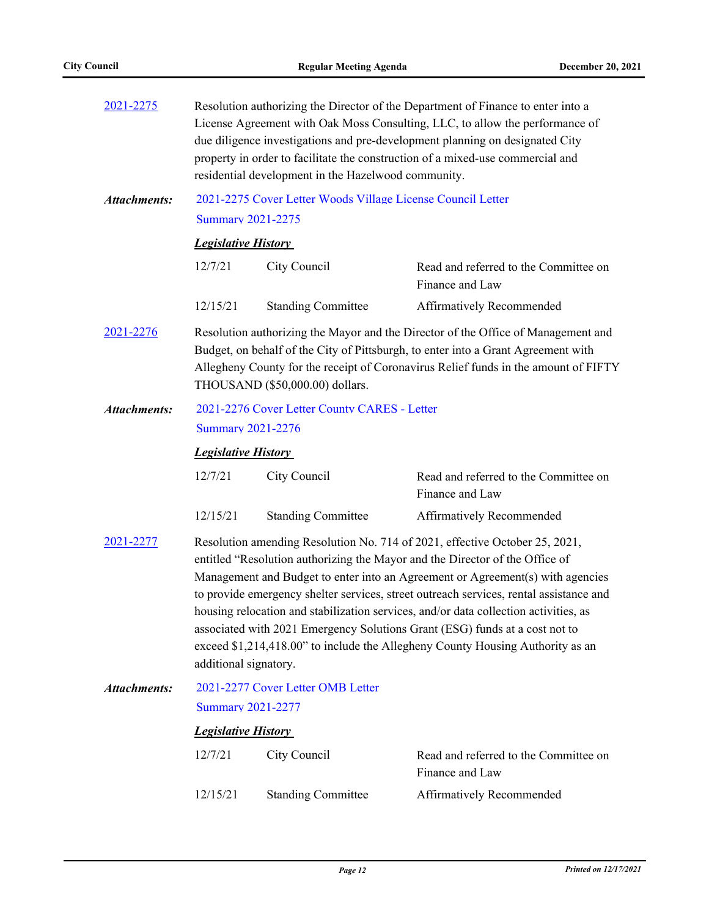| 2021-2275           | Resolution authorizing the Director of the Department of Finance to enter into a<br>License Agreement with Oak Moss Consulting, LLC, to allow the performance of<br>due diligence investigations and pre-development planning on designated City<br>property in order to facilitate the construction of a mixed-use commercial and<br>residential development in the Hazelwood community.                                                                                                                                                                                                                                 |                           |                                                          |  |
|---------------------|---------------------------------------------------------------------------------------------------------------------------------------------------------------------------------------------------------------------------------------------------------------------------------------------------------------------------------------------------------------------------------------------------------------------------------------------------------------------------------------------------------------------------------------------------------------------------------------------------------------------------|---------------------------|----------------------------------------------------------|--|
| <b>Attachments:</b> | 2021-2275 Cover Letter Woods Village License Council Letter<br><b>Summary 2021-2275</b>                                                                                                                                                                                                                                                                                                                                                                                                                                                                                                                                   |                           |                                                          |  |
|                     | <b>Legislative History</b>                                                                                                                                                                                                                                                                                                                                                                                                                                                                                                                                                                                                |                           |                                                          |  |
|                     | 12/7/21                                                                                                                                                                                                                                                                                                                                                                                                                                                                                                                                                                                                                   | City Council              | Read and referred to the Committee on<br>Finance and Law |  |
|                     | 12/15/21                                                                                                                                                                                                                                                                                                                                                                                                                                                                                                                                                                                                                  | <b>Standing Committee</b> | Affirmatively Recommended                                |  |
| 2021-2276           | Resolution authorizing the Mayor and the Director of the Office of Management and<br>Budget, on behalf of the City of Pittsburgh, to enter into a Grant Agreement with<br>Allegheny County for the receipt of Coronavirus Relief funds in the amount of FIFTY<br>THOUSAND (\$50,000.00) dollars.                                                                                                                                                                                                                                                                                                                          |                           |                                                          |  |
| <b>Attachments:</b> | 2021-2276 Cover Letter County CARES - Letter                                                                                                                                                                                                                                                                                                                                                                                                                                                                                                                                                                              |                           |                                                          |  |
|                     | <b>Summary 2021-2276</b>                                                                                                                                                                                                                                                                                                                                                                                                                                                                                                                                                                                                  |                           |                                                          |  |
|                     | <b>Legislative History</b>                                                                                                                                                                                                                                                                                                                                                                                                                                                                                                                                                                                                |                           |                                                          |  |
|                     | 12/7/21                                                                                                                                                                                                                                                                                                                                                                                                                                                                                                                                                                                                                   | City Council              | Read and referred to the Committee on<br>Finance and Law |  |
|                     | 12/15/21                                                                                                                                                                                                                                                                                                                                                                                                                                                                                                                                                                                                                  | <b>Standing Committee</b> | Affirmatively Recommended                                |  |
| 2021-2277           | Resolution amending Resolution No. 714 of 2021, effective October 25, 2021,<br>entitled "Resolution authorizing the Mayor and the Director of the Office of<br>Management and Budget to enter into an Agreement or Agreement(s) with agencies<br>to provide emergency shelter services, street outreach services, rental assistance and<br>housing relocation and stabilization services, and/or data collection activities, as<br>associated with 2021 Emergency Solutions Grant (ESG) funds at a cost not to<br>exceed \$1,214,418.00" to include the Allegheny County Housing Authority as an<br>additional signatory. |                           |                                                          |  |
| <b>Attachments:</b> | 2021-2277 Cover Letter OMB Letter                                                                                                                                                                                                                                                                                                                                                                                                                                                                                                                                                                                         |                           |                                                          |  |
|                     | <b>Summary 2021-2277</b>                                                                                                                                                                                                                                                                                                                                                                                                                                                                                                                                                                                                  |                           |                                                          |  |
|                     | <b>Legislative History</b>                                                                                                                                                                                                                                                                                                                                                                                                                                                                                                                                                                                                |                           |                                                          |  |
|                     | 12/7/21                                                                                                                                                                                                                                                                                                                                                                                                                                                                                                                                                                                                                   | City Council              | Read and referred to the Committee on<br>Finance and Law |  |
|                     | 12/15/21                                                                                                                                                                                                                                                                                                                                                                                                                                                                                                                                                                                                                  | <b>Standing Committee</b> | Affirmatively Recommended                                |  |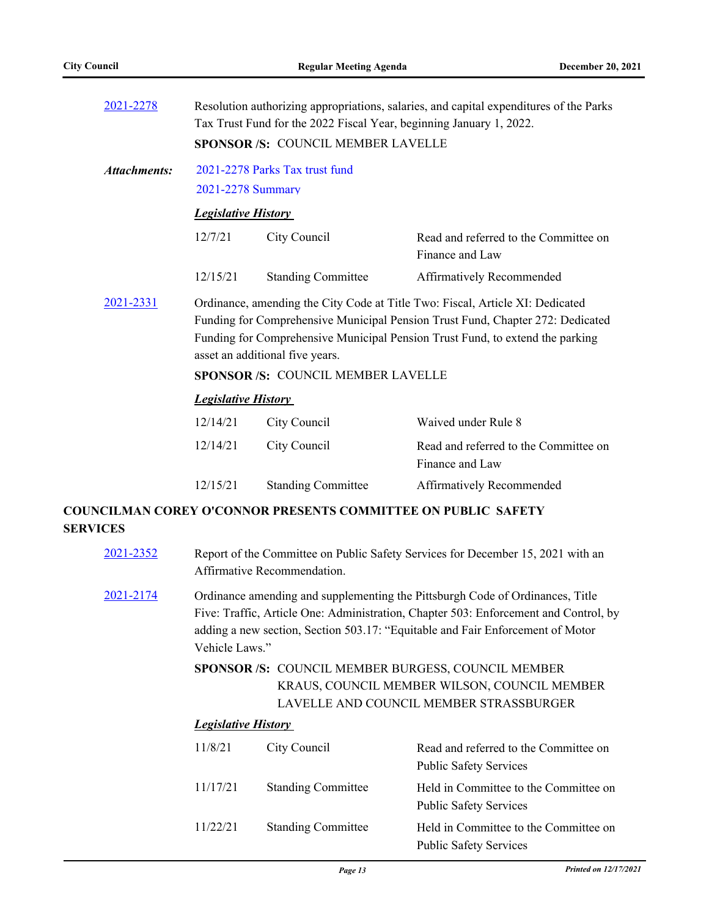| 2021-2278    | Resolution authorizing appropriations, salaries, and capital expenditures of the Parks<br>Tax Trust Fund for the 2022 Fiscal Year, beginning January 1, 2022.<br>SPONSOR /S: COUNCIL MEMBER LAVELLE                                                                                                                             |                           |                                                          |  |
|--------------|---------------------------------------------------------------------------------------------------------------------------------------------------------------------------------------------------------------------------------------------------------------------------------------------------------------------------------|---------------------------|----------------------------------------------------------|--|
| Attachments: | 2021-2278 Parks Tax trust fund<br>2021-2278 Summary                                                                                                                                                                                                                                                                             |                           |                                                          |  |
|              | <b>Legislative History</b>                                                                                                                                                                                                                                                                                                      |                           |                                                          |  |
|              | 12/7/21                                                                                                                                                                                                                                                                                                                         | City Council              | Read and referred to the Committee on<br>Finance and Law |  |
|              | 12/15/21                                                                                                                                                                                                                                                                                                                        | <b>Standing Committee</b> | Affirmatively Recommended                                |  |
| 2021-2331    | Ordinance, amending the City Code at Title Two: Fiscal, Article XI: Dedicated<br>Funding for Comprehensive Municipal Pension Trust Fund, Chapter 272: Dedicated<br>Funding for Comprehensive Municipal Pension Trust Fund, to extend the parking<br>asset an additional five years.<br><b>SPONSOR/S: COUNCIL MEMBER LAVELLE</b> |                           |                                                          |  |
|              | <b>Legislative History</b>                                                                                                                                                                                                                                                                                                      |                           |                                                          |  |
|              | 12/14/21                                                                                                                                                                                                                                                                                                                        | City Council              | Waived under Rule 8                                      |  |
|              | 12/14/21                                                                                                                                                                                                                                                                                                                        | City Council              | Read and referred to the Committee on<br>Finance and Law |  |
|              |                                                                                                                                                                                                                                                                                                                                 |                           |                                                          |  |

# 12/15/21 Standing Committee Affirmatively Recommended

## **COUNCILMAN COREY O'CONNOR PRESENTS COMMITTEE ON PUBLIC SAFETY SERVICES**

- [2021-2352](http://pittsburgh.legistar.com/gateway.aspx?m=l&id=/matter.aspx?key=27256) Report of the Committee on Public Safety Services for December 15, 2021 with an Affirmative Recommendation.
- [2021-2174](http://pittsburgh.legistar.com/gateway.aspx?m=l&id=/matter.aspx?key=27067) Ordinance amending and supplementing the Pittsburgh Code of Ordinances, Title Five: Traffic, Article One: Administration, Chapter 503: Enforcement and Control, by adding a new section, Section 503.17: "Equitable and Fair Enforcement of Motor Vehicle Laws."
	- SPONSOR /S: COUNCIL MEMBER BURGESS, COUNCIL MEMBER KRAUS, COUNCIL MEMBER WILSON, COUNCIL MEMBER LAVELLE AND COUNCIL MEMBER STRASSBURGER

#### *Legislative History*

| 11/8/21  | City Council              | Read and referred to the Committee on<br><b>Public Safety Services</b> |
|----------|---------------------------|------------------------------------------------------------------------|
| 11/17/21 | <b>Standing Committee</b> | Held in Committee to the Committee on<br><b>Public Safety Services</b> |
| 11/22/21 | <b>Standing Committee</b> | Held in Committee to the Committee on<br><b>Public Safety Services</b> |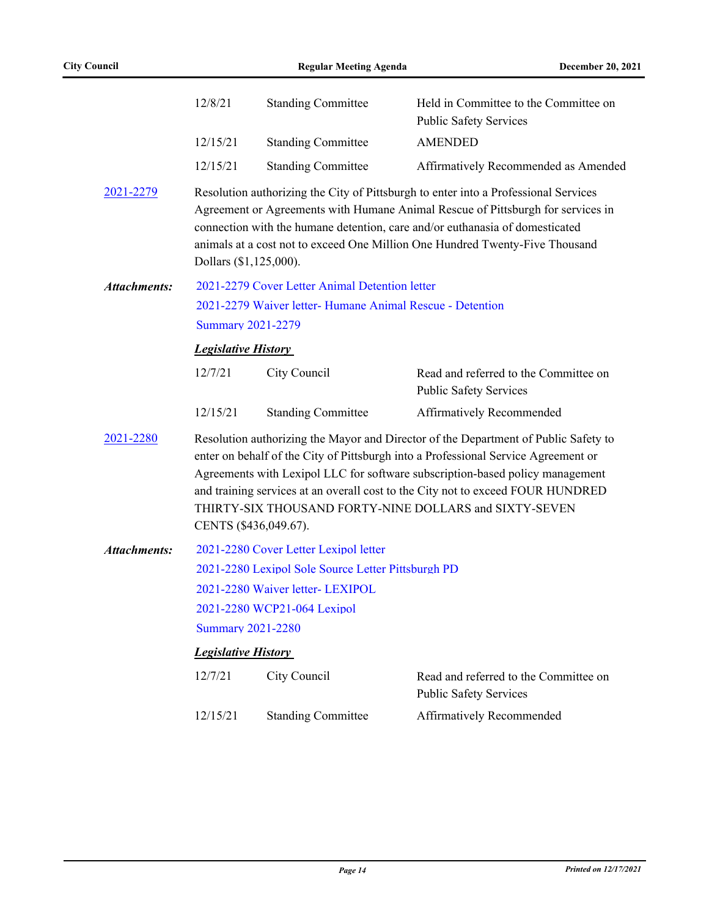|                     | 12/8/21                                            | <b>Standing Committee</b>                                 | Held in Committee to the Committee on<br><b>Public Safety Services</b>                                                                                                                                                                                                                                                                                                                                  |  |
|---------------------|----------------------------------------------------|-----------------------------------------------------------|---------------------------------------------------------------------------------------------------------------------------------------------------------------------------------------------------------------------------------------------------------------------------------------------------------------------------------------------------------------------------------------------------------|--|
|                     | 12/15/21                                           | <b>Standing Committee</b>                                 | <b>AMENDED</b>                                                                                                                                                                                                                                                                                                                                                                                          |  |
|                     | 12/15/21                                           | <b>Standing Committee</b>                                 | Affirmatively Recommended as Amended                                                                                                                                                                                                                                                                                                                                                                    |  |
| 2021-2279           | Dollars (\$1,125,000).                             |                                                           | Resolution authorizing the City of Pittsburgh to enter into a Professional Services<br>Agreement or Agreements with Humane Animal Rescue of Pittsburgh for services in<br>connection with the humane detention, care and/or euthanasia of domesticated<br>animals at a cost not to exceed One Million One Hundred Twenty-Five Thousand                                                                  |  |
| <b>Attachments:</b> | 2021-2279 Cover Letter Animal Detention letter     |                                                           |                                                                                                                                                                                                                                                                                                                                                                                                         |  |
|                     |                                                    | 2021-2279 Waiver letter- Humane Animal Rescue - Detention |                                                                                                                                                                                                                                                                                                                                                                                                         |  |
|                     | <b>Summary 2021-2279</b>                           |                                                           |                                                                                                                                                                                                                                                                                                                                                                                                         |  |
|                     | <b>Legislative History</b>                         |                                                           |                                                                                                                                                                                                                                                                                                                                                                                                         |  |
|                     | 12/7/21                                            | City Council                                              | Read and referred to the Committee on<br><b>Public Safety Services</b>                                                                                                                                                                                                                                                                                                                                  |  |
|                     | 12/15/21                                           | <b>Standing Committee</b>                                 | Affirmatively Recommended                                                                                                                                                                                                                                                                                                                                                                               |  |
| 2021-2280           | CENTS (\$436,049.67).                              |                                                           | Resolution authorizing the Mayor and Director of the Department of Public Safety to<br>enter on behalf of the City of Pittsburgh into a Professional Service Agreement or<br>Agreements with Lexipol LLC for software subscription-based policy management<br>and training services at an overall cost to the City not to exceed FOUR HUNDRED<br>THIRTY-SIX THOUSAND FORTY-NINE DOLLARS and SIXTY-SEVEN |  |
| <b>Attachments:</b> |                                                    | 2021-2280 Cover Letter Lexipol letter                     |                                                                                                                                                                                                                                                                                                                                                                                                         |  |
|                     | 2021-2280 Lexipol Sole Source Letter Pittsburgh PD |                                                           |                                                                                                                                                                                                                                                                                                                                                                                                         |  |
|                     | 2021-2280 Waiver letter- LEXIPOL                   |                                                           |                                                                                                                                                                                                                                                                                                                                                                                                         |  |
|                     | 2021-2280 WCP21-064 Lexipol                        |                                                           |                                                                                                                                                                                                                                                                                                                                                                                                         |  |
|                     | <b>Summary 2021-2280</b>                           |                                                           |                                                                                                                                                                                                                                                                                                                                                                                                         |  |
|                     | <b>Legislative History</b>                         |                                                           |                                                                                                                                                                                                                                                                                                                                                                                                         |  |
|                     | 12/7/21                                            | City Council                                              | Read and referred to the Committee on<br><b>Public Safety Services</b>                                                                                                                                                                                                                                                                                                                                  |  |
|                     | 12/15/21                                           | <b>Standing Committee</b>                                 | Affirmatively Recommended                                                                                                                                                                                                                                                                                                                                                                               |  |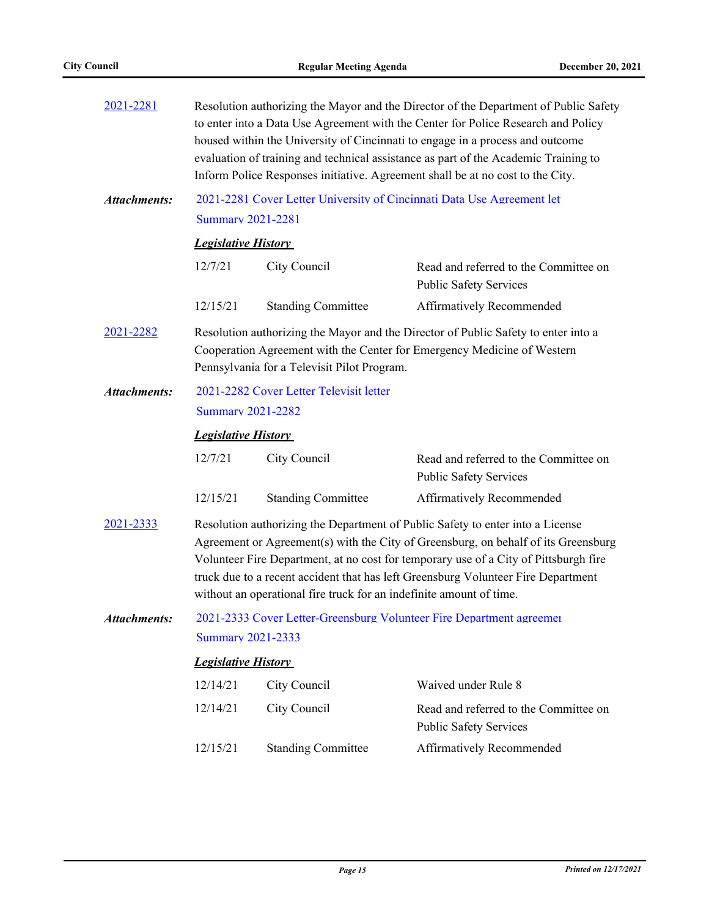| 2021-2281           | Resolution authorizing the Mayor and the Director of the Department of Public Safety<br>to enter into a Data Use Agreement with the Center for Police Research and Policy<br>housed within the University of Cincinnati to engage in a process and outcome<br>evaluation of training and technical assistance as part of the Academic Training to<br>Inform Police Responses initiative. Agreement shall be at no cost to the City. |                                                                                                                                                                                                              |                                                                        |  |  |  |
|---------------------|-------------------------------------------------------------------------------------------------------------------------------------------------------------------------------------------------------------------------------------------------------------------------------------------------------------------------------------------------------------------------------------------------------------------------------------|--------------------------------------------------------------------------------------------------------------------------------------------------------------------------------------------------------------|------------------------------------------------------------------------|--|--|--|
| <b>Attachments:</b> |                                                                                                                                                                                                                                                                                                                                                                                                                                     |                                                                                                                                                                                                              | 2021-2281 Cover Letter University of Cincinnati Data Use Agreement let |  |  |  |
|                     | <b>Summary 2021-2281</b>                                                                                                                                                                                                                                                                                                                                                                                                            |                                                                                                                                                                                                              |                                                                        |  |  |  |
|                     | <b>Legislative History</b>                                                                                                                                                                                                                                                                                                                                                                                                          |                                                                                                                                                                                                              |                                                                        |  |  |  |
|                     | 12/7/21                                                                                                                                                                                                                                                                                                                                                                                                                             | City Council                                                                                                                                                                                                 | Read and referred to the Committee on<br><b>Public Safety Services</b> |  |  |  |
|                     | 12/15/21                                                                                                                                                                                                                                                                                                                                                                                                                            | <b>Standing Committee</b>                                                                                                                                                                                    | Affirmatively Recommended                                              |  |  |  |
| 2021-2282           |                                                                                                                                                                                                                                                                                                                                                                                                                                     | Resolution authorizing the Mayor and the Director of Public Safety to enter into a<br>Cooperation Agreement with the Center for Emergency Medicine of Western<br>Pennsylvania for a Televisit Pilot Program. |                                                                        |  |  |  |
| <b>Attachments:</b> |                                                                                                                                                                                                                                                                                                                                                                                                                                     | 2021-2282 Cover Letter Televisit letter                                                                                                                                                                      |                                                                        |  |  |  |
|                     |                                                                                                                                                                                                                                                                                                                                                                                                                                     | <b>Summary 2021-2282</b>                                                                                                                                                                                     |                                                                        |  |  |  |
|                     |                                                                                                                                                                                                                                                                                                                                                                                                                                     | <b>Legislative History</b>                                                                                                                                                                                   |                                                                        |  |  |  |
|                     | 12/7/21                                                                                                                                                                                                                                                                                                                                                                                                                             | City Council                                                                                                                                                                                                 | Read and referred to the Committee on<br><b>Public Safety Services</b> |  |  |  |
|                     | 12/15/21                                                                                                                                                                                                                                                                                                                                                                                                                            | <b>Standing Committee</b>                                                                                                                                                                                    | Affirmatively Recommended                                              |  |  |  |
| 2021-2333           | Resolution authorizing the Department of Public Safety to enter into a License<br>Agreement or Agreement(s) with the City of Greensburg, on behalf of its Greensburg<br>Volunteer Fire Department, at no cost for temporary use of a City of Pittsburgh fire<br>truck due to a recent accident that has left Greensburg Volunteer Fire Department<br>without an operational fire truck for an indefinite amount of time.            |                                                                                                                                                                                                              |                                                                        |  |  |  |
| Attachments:        |                                                                                                                                                                                                                                                                                                                                                                                                                                     | 2021-2333 Cover Letter-Greensburg Volunteer Fire Department agreemer                                                                                                                                         |                                                                        |  |  |  |
|                     | <b>Summary 2021-2333</b>                                                                                                                                                                                                                                                                                                                                                                                                            |                                                                                                                                                                                                              |                                                                        |  |  |  |
|                     |                                                                                                                                                                                                                                                                                                                                                                                                                                     | <b>Legislative History</b>                                                                                                                                                                                   |                                                                        |  |  |  |
|                     | 12/14/21                                                                                                                                                                                                                                                                                                                                                                                                                            | City Council                                                                                                                                                                                                 | Waived under Rule 8                                                    |  |  |  |
|                     | 12/14/21                                                                                                                                                                                                                                                                                                                                                                                                                            | City Council                                                                                                                                                                                                 | Read and referred to the Committee on<br><b>Public Safety Services</b> |  |  |  |
|                     | 12/15/21                                                                                                                                                                                                                                                                                                                                                                                                                            | <b>Standing Committee</b>                                                                                                                                                                                    | Affirmatively Recommended                                              |  |  |  |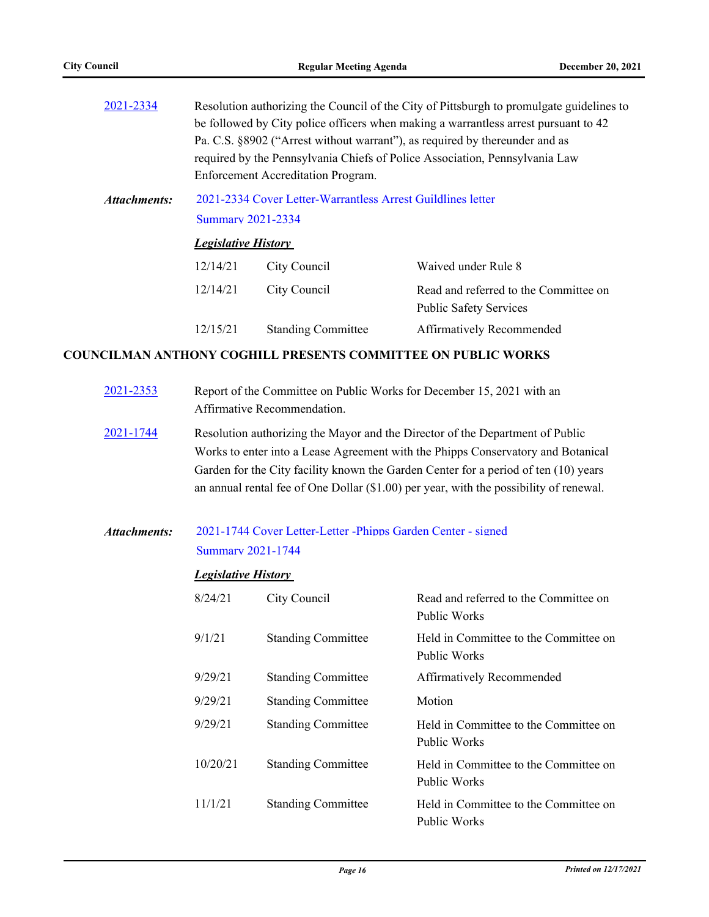| 2021-2334    |          | Resolution authorizing the Council of the City of Pittsburgh to promulgate guidelines to |                                                                             |  |  |
|--------------|----------|------------------------------------------------------------------------------------------|-----------------------------------------------------------------------------|--|--|
|              |          | be followed by City police officers when making a warrantless arrest pursuant to 42      |                                                                             |  |  |
|              |          |                                                                                          | Pa. C.S. §8902 ("Arrest without warrant"), as required by thereunder and as |  |  |
|              |          |                                                                                          | required by the Pennsylvania Chiefs of Police Association, Pennsylvania Law |  |  |
|              |          | Enforcement Accreditation Program.                                                       |                                                                             |  |  |
| Attachments: |          | 2021-2334 Cover Letter-Warrantless Arrest Guildlines letter<br><b>Summary 2021-2334</b>  |                                                                             |  |  |
|              |          | <b>Legislative History</b>                                                               |                                                                             |  |  |
|              | 12/14/21 | City Council                                                                             | Waived under Rule 8                                                         |  |  |
|              | 12/14/21 | City Council                                                                             | Read and referred to the Committee on<br><b>Public Safety Services</b>      |  |  |
|              | 12/15/21 | <b>Standing Committee</b>                                                                | Affirmatively Recommended                                                   |  |  |
|              |          |                                                                                          |                                                                             |  |  |

### **COUNCILMAN ANTHONY COGHILL PRESENTS COMMITTEE ON PUBLIC WORKS**

| 2021-2353           |                                                                                                                                                                                                                                                                                                                                                    | Report of the Committee on Public Works for December 15, 2021 with an<br>Affirmative Recommendation. |                                                              |  |
|---------------------|----------------------------------------------------------------------------------------------------------------------------------------------------------------------------------------------------------------------------------------------------------------------------------------------------------------------------------------------------|------------------------------------------------------------------------------------------------------|--------------------------------------------------------------|--|
| 2021-1744           | Resolution authorizing the Mayor and the Director of the Department of Public<br>Works to enter into a Lease Agreement with the Phipps Conservatory and Botanical<br>Garden for the City facility known the Garden Center for a period of ten (10) years<br>an annual rental fee of One Dollar (\$1.00) per year, with the possibility of renewal. |                                                                                                      |                                                              |  |
| <b>Attachments:</b> | <b>Legislative History</b>                                                                                                                                                                                                                                                                                                                         | 2021-1744 Cover Letter-Letter - Phipps Garden Center - signed<br><b>Summary 2021-1744</b>            |                                                              |  |
|                     | 8/24/21                                                                                                                                                                                                                                                                                                                                            | City Council                                                                                         | Read and referred to the Committee on<br>Public Works        |  |
|                     | 9/1/21                                                                                                                                                                                                                                                                                                                                             | <b>Standing Committee</b>                                                                            | Held in Committee to the Committee on<br><b>Public Works</b> |  |
|                     | 9/29/21                                                                                                                                                                                                                                                                                                                                            | <b>Standing Committee</b>                                                                            | Affirmatively Recommended                                    |  |
|                     | 9/29/21                                                                                                                                                                                                                                                                                                                                            | <b>Standing Committee</b>                                                                            | Motion                                                       |  |
|                     | 9/29/21                                                                                                                                                                                                                                                                                                                                            | <b>Standing Committee</b>                                                                            | Held in Committee to the Committee on<br><b>Public Works</b> |  |
|                     | 10/20/21                                                                                                                                                                                                                                                                                                                                           | <b>Standing Committee</b>                                                                            | Held in Committee to the Committee on<br>Public Works        |  |
|                     | 11/1/21                                                                                                                                                                                                                                                                                                                                            | <b>Standing Committee</b>                                                                            | Held in Committee to the Committee on<br>Public Works        |  |
|                     |                                                                                                                                                                                                                                                                                                                                                    |                                                                                                      |                                                              |  |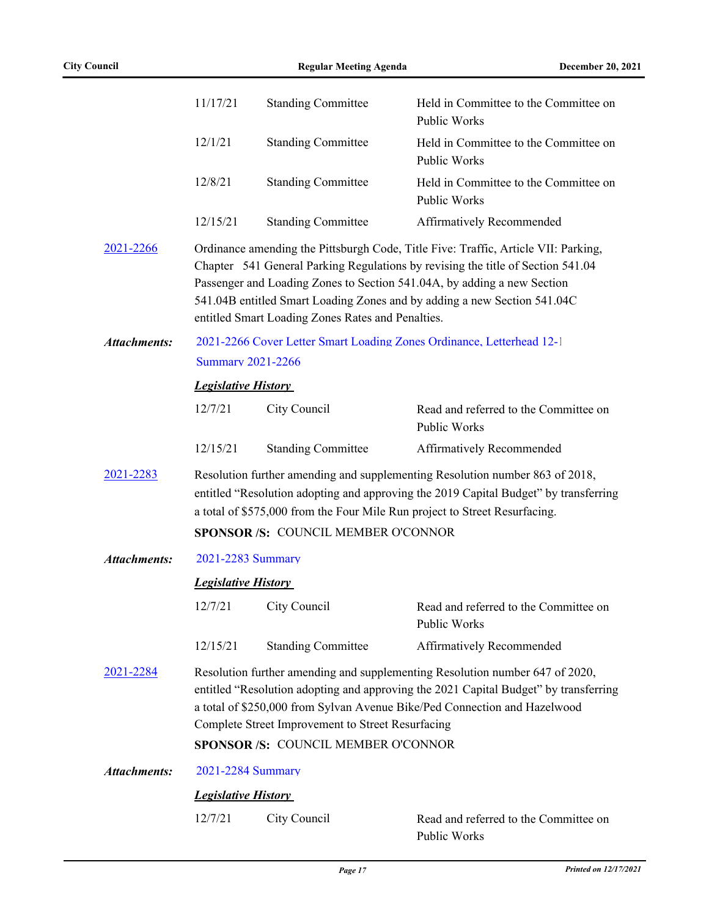|                     | 11/17/21                                                                                                                                                                                                                                                                                                                                      | <b>Standing Committee</b>                         | Held in Committee to the Committee on<br>Public Works                                                                                                                                                                                                                                                                        |
|---------------------|-----------------------------------------------------------------------------------------------------------------------------------------------------------------------------------------------------------------------------------------------------------------------------------------------------------------------------------------------|---------------------------------------------------|------------------------------------------------------------------------------------------------------------------------------------------------------------------------------------------------------------------------------------------------------------------------------------------------------------------------------|
|                     | 12/1/21                                                                                                                                                                                                                                                                                                                                       | <b>Standing Committee</b>                         | Held in Committee to the Committee on<br>Public Works                                                                                                                                                                                                                                                                        |
|                     | 12/8/21                                                                                                                                                                                                                                                                                                                                       | <b>Standing Committee</b>                         | Held in Committee to the Committee on<br>Public Works                                                                                                                                                                                                                                                                        |
|                     | 12/15/21                                                                                                                                                                                                                                                                                                                                      | <b>Standing Committee</b>                         | Affirmatively Recommended                                                                                                                                                                                                                                                                                                    |
| 2021-2266           |                                                                                                                                                                                                                                                                                                                                               | entitled Smart Loading Zones Rates and Penalties. | Ordinance amending the Pittsburgh Code, Title Five: Traffic, Article VII: Parking,<br>Chapter 541 General Parking Regulations by revising the title of Section 541.04<br>Passenger and Loading Zones to Section 541.04A, by adding a new Section<br>541.04B entitled Smart Loading Zones and by adding a new Section 541.04C |
| <b>Attachments:</b> | <b>Summary 2021-2266</b>                                                                                                                                                                                                                                                                                                                      |                                                   | 2021-2266 Cover Letter Smart Loading Zones Ordinance, Letterhead 12-1                                                                                                                                                                                                                                                        |
|                     |                                                                                                                                                                                                                                                                                                                                               |                                                   |                                                                                                                                                                                                                                                                                                                              |
|                     | <b>Legislative History</b>                                                                                                                                                                                                                                                                                                                    |                                                   |                                                                                                                                                                                                                                                                                                                              |
|                     | 12/7/21                                                                                                                                                                                                                                                                                                                                       | City Council                                      | Read and referred to the Committee on<br>Public Works                                                                                                                                                                                                                                                                        |
|                     | 12/15/21                                                                                                                                                                                                                                                                                                                                      | <b>Standing Committee</b>                         | Affirmatively Recommended                                                                                                                                                                                                                                                                                                    |
| 2021-2283           | Resolution further amending and supplementing Resolution number 863 of 2018,<br>entitled "Resolution adopting and approving the 2019 Capital Budget" by transferring<br>a total of \$575,000 from the Four Mile Run project to Street Resurfacing.                                                                                            |                                                   |                                                                                                                                                                                                                                                                                                                              |
|                     |                                                                                                                                                                                                                                                                                                                                               | SPONSOR /S: COUNCIL MEMBER O'CONNOR               |                                                                                                                                                                                                                                                                                                                              |
| <b>Attachments:</b> | 2021-2283 Summary                                                                                                                                                                                                                                                                                                                             |                                                   |                                                                                                                                                                                                                                                                                                                              |
|                     | <b>Legislative History</b>                                                                                                                                                                                                                                                                                                                    |                                                   |                                                                                                                                                                                                                                                                                                                              |
|                     |                                                                                                                                                                                                                                                                                                                                               | 12/7/21 City Council                              | Read and referred to the Committee on<br>Public Works                                                                                                                                                                                                                                                                        |
|                     | 12/15/21                                                                                                                                                                                                                                                                                                                                      | <b>Standing Committee</b>                         | Affirmatively Recommended                                                                                                                                                                                                                                                                                                    |
| 2021-2284           | Resolution further amending and supplementing Resolution number 647 of 2020,<br>entitled "Resolution adopting and approving the 2021 Capital Budget" by transferring<br>a total of \$250,000 from Sylvan Avenue Bike/Ped Connection and Hazelwood<br>Complete Street Improvement to Street Resurfacing<br>SPONSOR /S: COUNCIL MEMBER O'CONNOR |                                                   |                                                                                                                                                                                                                                                                                                                              |
| <b>Attachments:</b> | 2021-2284 Summary                                                                                                                                                                                                                                                                                                                             |                                                   |                                                                                                                                                                                                                                                                                                                              |
|                     | <b>Legislative History</b>                                                                                                                                                                                                                                                                                                                    |                                                   |                                                                                                                                                                                                                                                                                                                              |
|                     | 12/7/21                                                                                                                                                                                                                                                                                                                                       | City Council                                      | Read and referred to the Committee on<br>Public Works                                                                                                                                                                                                                                                                        |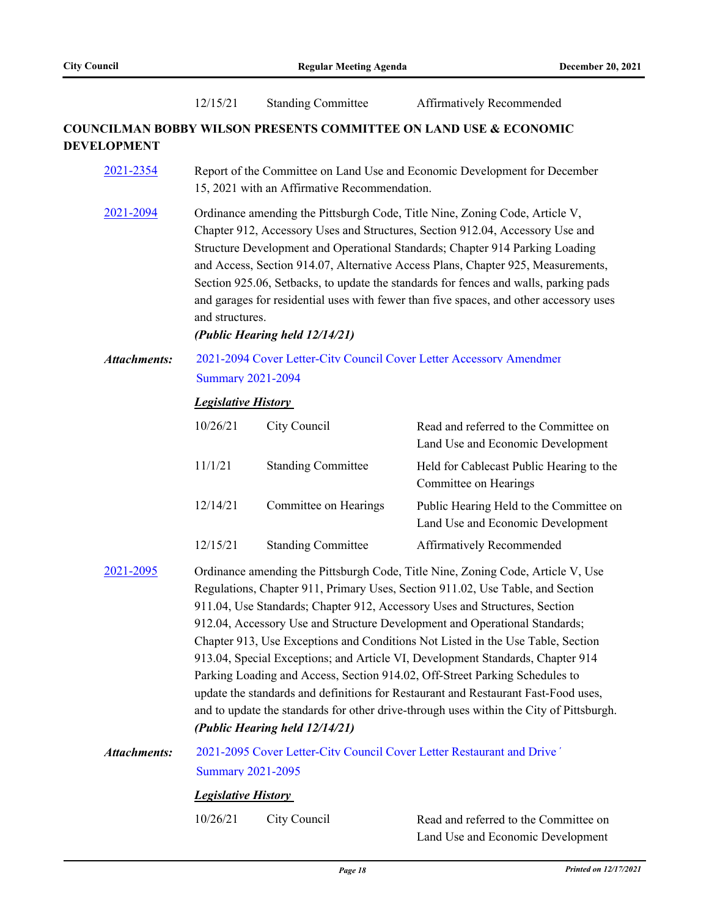|                     | 12/15/21                                                                                                                                                                                                                                                                                                                                                                                                                                                                                                                                                                                                                                                                                                                                                                                             | <b>Standing Committee</b>      | Affirmatively Recommended                                                                                                                                                                                                                                                                                                                                                                                                                                                                                          |  |
|---------------------|------------------------------------------------------------------------------------------------------------------------------------------------------------------------------------------------------------------------------------------------------------------------------------------------------------------------------------------------------------------------------------------------------------------------------------------------------------------------------------------------------------------------------------------------------------------------------------------------------------------------------------------------------------------------------------------------------------------------------------------------------------------------------------------------------|--------------------------------|--------------------------------------------------------------------------------------------------------------------------------------------------------------------------------------------------------------------------------------------------------------------------------------------------------------------------------------------------------------------------------------------------------------------------------------------------------------------------------------------------------------------|--|
| <b>DEVELOPMENT</b>  |                                                                                                                                                                                                                                                                                                                                                                                                                                                                                                                                                                                                                                                                                                                                                                                                      |                                | <b>COUNCILMAN BOBBY WILSON PRESENTS COMMITTEE ON LAND USE &amp; ECONOMIC</b>                                                                                                                                                                                                                                                                                                                                                                                                                                       |  |
| 2021-2354           | Report of the Committee on Land Use and Economic Development for December<br>15, 2021 with an Affirmative Recommendation.                                                                                                                                                                                                                                                                                                                                                                                                                                                                                                                                                                                                                                                                            |                                |                                                                                                                                                                                                                                                                                                                                                                                                                                                                                                                    |  |
| 2021-2094           | and structures.                                                                                                                                                                                                                                                                                                                                                                                                                                                                                                                                                                                                                                                                                                                                                                                      | (Public Hearing held 12/14/21) | Ordinance amending the Pittsburgh Code, Title Nine, Zoning Code, Article V,<br>Chapter 912, Accessory Uses and Structures, Section 912.04, Accessory Use and<br>Structure Development and Operational Standards; Chapter 914 Parking Loading<br>and Access, Section 914.07, Alternative Access Plans, Chapter 925, Measurements,<br>Section 925.06, Setbacks, to update the standards for fences and walls, parking pads<br>and garages for residential uses with fewer than five spaces, and other accessory uses |  |
| <b>Attachments:</b> | 2021-2094 Cover Letter-City Council Cover Letter Accessory Amendmer<br><b>Summary 2021-2094</b>                                                                                                                                                                                                                                                                                                                                                                                                                                                                                                                                                                                                                                                                                                      |                                |                                                                                                                                                                                                                                                                                                                                                                                                                                                                                                                    |  |
|                     | <b>Legislative History</b>                                                                                                                                                                                                                                                                                                                                                                                                                                                                                                                                                                                                                                                                                                                                                                           |                                |                                                                                                                                                                                                                                                                                                                                                                                                                                                                                                                    |  |
|                     | 10/26/21                                                                                                                                                                                                                                                                                                                                                                                                                                                                                                                                                                                                                                                                                                                                                                                             | City Council                   | Read and referred to the Committee on<br>Land Use and Economic Development                                                                                                                                                                                                                                                                                                                                                                                                                                         |  |
|                     | 11/1/21                                                                                                                                                                                                                                                                                                                                                                                                                                                                                                                                                                                                                                                                                                                                                                                              | <b>Standing Committee</b>      | Held for Cablecast Public Hearing to the<br>Committee on Hearings                                                                                                                                                                                                                                                                                                                                                                                                                                                  |  |
|                     | 12/14/21                                                                                                                                                                                                                                                                                                                                                                                                                                                                                                                                                                                                                                                                                                                                                                                             | Committee on Hearings          | Public Hearing Held to the Committee on<br>Land Use and Economic Development                                                                                                                                                                                                                                                                                                                                                                                                                                       |  |
|                     | 12/15/21                                                                                                                                                                                                                                                                                                                                                                                                                                                                                                                                                                                                                                                                                                                                                                                             | <b>Standing Committee</b>      | Affirmatively Recommended                                                                                                                                                                                                                                                                                                                                                                                                                                                                                          |  |
| 2021-2095           | Ordinance amending the Pittsburgh Code, Title Nine, Zoning Code, Article V, Use<br>Regulations, Chapter 911, Primary Uses, Section 911.02, Use Table, and Section<br>911.04, Use Standards; Chapter 912, Accessory Uses and Structures, Section<br>912.04, Accessory Use and Structure Development and Operational Standards;<br>Chapter 913, Use Exceptions and Conditions Not Listed in the Use Table, Section<br>913.04, Special Exceptions; and Article VI, Development Standards, Chapter 914<br>Parking Loading and Access, Section 914.02, Off-Street Parking Schedules to<br>update the standards and definitions for Restaurant and Restaurant Fast-Food uses,<br>and to update the standards for other drive-through uses within the City of Pittsburgh.<br>(Public Hearing held 12/14/21) |                                |                                                                                                                                                                                                                                                                                                                                                                                                                                                                                                                    |  |
| <b>Attachments:</b> | <b>Summary 2021-2095</b>                                                                                                                                                                                                                                                                                                                                                                                                                                                                                                                                                                                                                                                                                                                                                                             |                                | 2021-2095 Cover Letter-City Council Cover Letter Restaurant and Drive'                                                                                                                                                                                                                                                                                                                                                                                                                                             |  |
|                     | <b>Legislative History</b>                                                                                                                                                                                                                                                                                                                                                                                                                                                                                                                                                                                                                                                                                                                                                                           |                                |                                                                                                                                                                                                                                                                                                                                                                                                                                                                                                                    |  |
|                     | 10/26/21                                                                                                                                                                                                                                                                                                                                                                                                                                                                                                                                                                                                                                                                                                                                                                                             | City Council                   | Read and referred to the Committee on                                                                                                                                                                                                                                                                                                                                                                                                                                                                              |  |

Land Use and Economic Development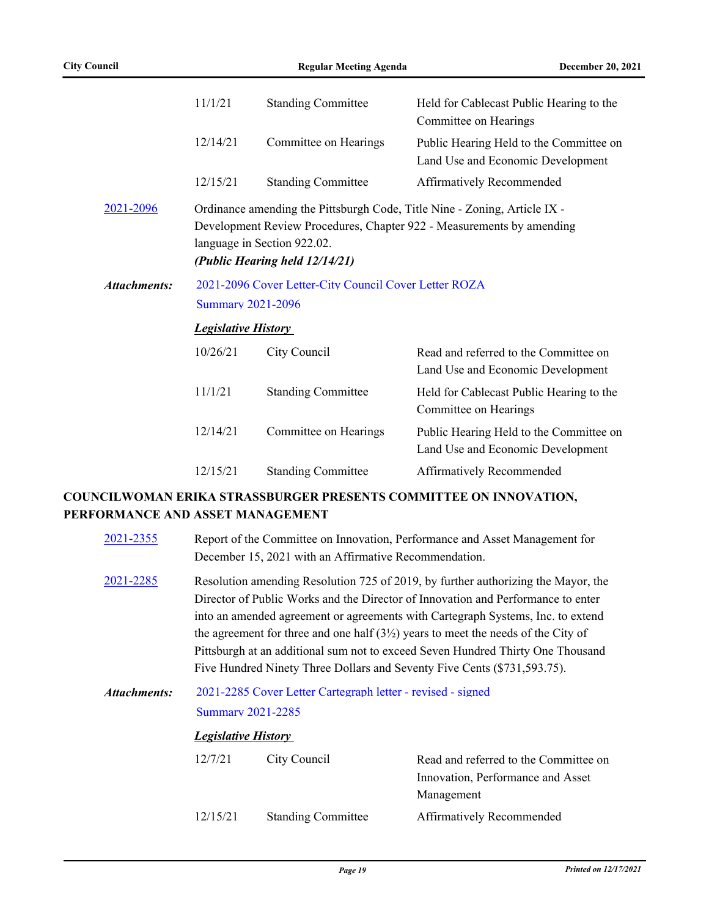|              | 11/1/21                                                | <b>Standing Committee</b>                                     | Held for Cablecast Public Hearing to the<br>Committee on Hearings                                                                                  |  |
|--------------|--------------------------------------------------------|---------------------------------------------------------------|----------------------------------------------------------------------------------------------------------------------------------------------------|--|
|              | 12/14/21                                               | Committee on Hearings                                         | Public Hearing Held to the Committee on<br>Land Use and Economic Development                                                                       |  |
|              | 12/15/21                                               | <b>Standing Committee</b>                                     | Affirmatively Recommended                                                                                                                          |  |
| 2021-2096    |                                                        | language in Section 922.02.<br>(Public Hearing held 12/14/21) | Ordinance amending the Pittsburgh Code, Title Nine - Zoning, Article IX -<br>Development Review Procedures, Chapter 922 - Measurements by amending |  |
| Attachments: | 2021-2096 Cover Letter-City Council Cover Letter ROZA  |                                                               |                                                                                                                                                    |  |
|              | <b>Summary 2021-2096</b><br><b>Legislative History</b> |                                                               |                                                                                                                                                    |  |
|              |                                                        |                                                               |                                                                                                                                                    |  |
|              | 10/26/21                                               | City Council                                                  | Read and referred to the Committee on<br>Land Use and Economic Development                                                                         |  |
|              | 11/1/21                                                | <b>Standing Committee</b>                                     | Held for Cablecast Public Hearing to the<br>Committee on Hearings                                                                                  |  |
|              | 12/14/21                                               | Committee on Hearings                                         | Public Hearing Held to the Committee on<br>Land Use and Economic Development                                                                       |  |
|              | 12/15/21                                               | <b>Standing Committee</b>                                     | Affirmatively Recommended                                                                                                                          |  |

### **COUNCILWOMAN ERIKA STRASSBURGER PRESENTS COMMITTEE ON INNOVATION, PERFORMANCE AND ASSET MANAGEMENT**

| 2021-2355    | Report of the Committee on Innovation, Performance and Asset Management for<br>December 15, 2021 with an Affirmative Recommendation.                                                                                                                                                                                                                                                                                                                                                                            |                           |                                                                                          |
|--------------|-----------------------------------------------------------------------------------------------------------------------------------------------------------------------------------------------------------------------------------------------------------------------------------------------------------------------------------------------------------------------------------------------------------------------------------------------------------------------------------------------------------------|---------------------------|------------------------------------------------------------------------------------------|
| 2021-2285    | Resolution amending Resolution 725 of 2019, by further authorizing the Mayor, the<br>Director of Public Works and the Director of Innovation and Performance to enter<br>into an amended agreement or agreements with Cartegraph Systems, Inc. to extend<br>the agreement for three and one half $(31/2)$ years to meet the needs of the City of<br>Pittsburgh at an additional sum not to exceed Seven Hundred Thirty One Thousand<br>Five Hundred Ninety Three Dollars and Seventy Five Cents (\$731,593.75). |                           |                                                                                          |
| Attachments: | 2021-2285 Cover Letter Cartegraph letter - revised - signed<br><b>Summary 2021-2285</b><br><b>Legislative History</b>                                                                                                                                                                                                                                                                                                                                                                                           |                           |                                                                                          |
|              |                                                                                                                                                                                                                                                                                                                                                                                                                                                                                                                 |                           |                                                                                          |
|              | 12/7/21                                                                                                                                                                                                                                                                                                                                                                                                                                                                                                         | City Council              | Read and referred to the Committee on<br>Innovation, Performance and Asset<br>Management |
|              | 12/15/21                                                                                                                                                                                                                                                                                                                                                                                                                                                                                                        | <b>Standing Committee</b> | <b>Affirmatively Recommended</b>                                                         |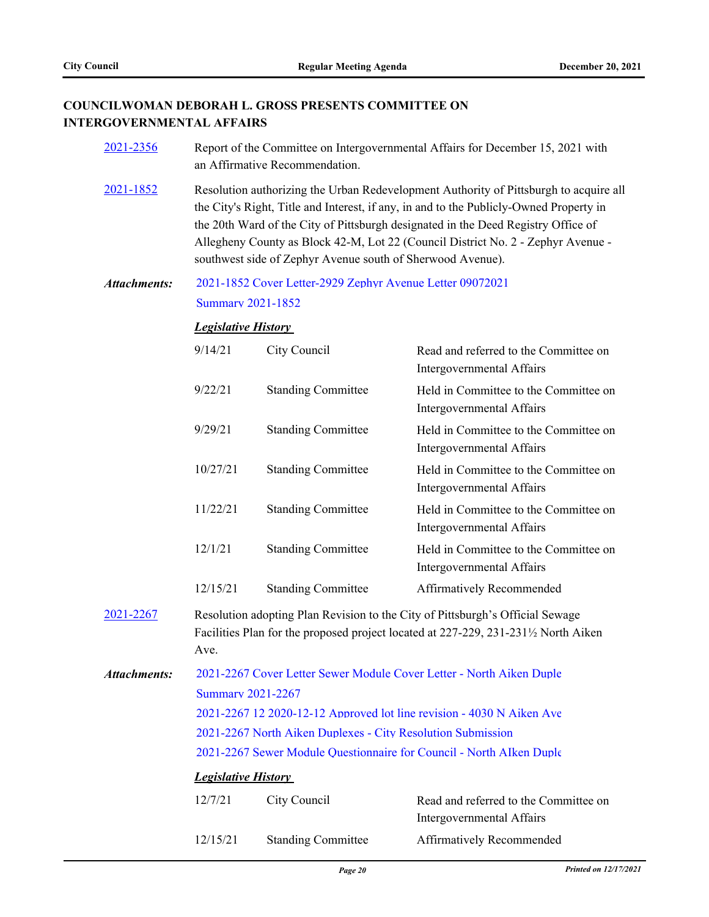### **COUNCILWOMAN DEBORAH L. GROSS PRESENTS COMMITTEE ON INTERGOVERNMENTAL AFFAIRS**

| 2021-2356           | Report of the Committee on Intergovernmental Affairs for December 15, 2021 with<br>an Affirmative Recommendation.                                                                                                                                                                                                                                                                                                      |                                                           |                                                                                                                                                                    |  |
|---------------------|------------------------------------------------------------------------------------------------------------------------------------------------------------------------------------------------------------------------------------------------------------------------------------------------------------------------------------------------------------------------------------------------------------------------|-----------------------------------------------------------|--------------------------------------------------------------------------------------------------------------------------------------------------------------------|--|
| 2021-1852           | Resolution authorizing the Urban Redevelopment Authority of Pittsburgh to acquire all<br>the City's Right, Title and Interest, if any, in and to the Publicly-Owned Property in<br>the 20th Ward of the City of Pittsburgh designated in the Deed Registry Office of<br>Allegheny County as Block 42-M, Lot 22 (Council District No. 2 - Zephyr Avenue -<br>southwest side of Zephyr Avenue south of Sherwood Avenue). |                                                           |                                                                                                                                                                    |  |
| <b>Attachments:</b> |                                                                                                                                                                                                                                                                                                                                                                                                                        | 2021-1852 Cover Letter-2929 Zephyr Avenue Letter 09072021 |                                                                                                                                                                    |  |
|                     | <b>Summary 2021-1852</b>                                                                                                                                                                                                                                                                                                                                                                                               |                                                           |                                                                                                                                                                    |  |
|                     | <b>Legislative History</b>                                                                                                                                                                                                                                                                                                                                                                                             |                                                           |                                                                                                                                                                    |  |
|                     | 9/14/21                                                                                                                                                                                                                                                                                                                                                                                                                | City Council                                              | Read and referred to the Committee on<br>Intergovernmental Affairs                                                                                                 |  |
|                     | 9/22/21                                                                                                                                                                                                                                                                                                                                                                                                                | <b>Standing Committee</b>                                 | Held in Committee to the Committee on<br>Intergovernmental Affairs                                                                                                 |  |
|                     | 9/29/21                                                                                                                                                                                                                                                                                                                                                                                                                | <b>Standing Committee</b>                                 | Held in Committee to the Committee on<br>Intergovernmental Affairs                                                                                                 |  |
|                     | 10/27/21                                                                                                                                                                                                                                                                                                                                                                                                               | <b>Standing Committee</b>                                 | Held in Committee to the Committee on<br>Intergovernmental Affairs                                                                                                 |  |
|                     | 11/22/21                                                                                                                                                                                                                                                                                                                                                                                                               | <b>Standing Committee</b>                                 | Held in Committee to the Committee on<br>Intergovernmental Affairs                                                                                                 |  |
|                     | 12/1/21                                                                                                                                                                                                                                                                                                                                                                                                                | <b>Standing Committee</b>                                 | Held in Committee to the Committee on<br>Intergovernmental Affairs                                                                                                 |  |
|                     | 12/15/21                                                                                                                                                                                                                                                                                                                                                                                                               | <b>Standing Committee</b>                                 | Affirmatively Recommended                                                                                                                                          |  |
| 2021-2267           | Ave.                                                                                                                                                                                                                                                                                                                                                                                                                   |                                                           | Resolution adopting Plan Revision to the City of Pittsburgh's Official Sewage<br>Facilities Plan for the proposed project located at 227-229, 231-231½ North Aiken |  |
| <b>Attachments:</b> | 2021-2267 Cover Letter Sewer Module Cover Letter - North Aiken Duple                                                                                                                                                                                                                                                                                                                                                   |                                                           |                                                                                                                                                                    |  |
|                     | <b>Summary 2021-2267</b>                                                                                                                                                                                                                                                                                                                                                                                               |                                                           |                                                                                                                                                                    |  |
|                     | 2021-2267 12 2020-12-12 Approved lot line revision - 4030 N Aiken Ave                                                                                                                                                                                                                                                                                                                                                  |                                                           |                                                                                                                                                                    |  |
|                     | 2021-2267 North Aiken Duplexes - City Resolution Submission                                                                                                                                                                                                                                                                                                                                                            |                                                           |                                                                                                                                                                    |  |
|                     | 2021-2267 Sewer Module Ouestionnaire for Council - North AIken Duple                                                                                                                                                                                                                                                                                                                                                   |                                                           |                                                                                                                                                                    |  |
|                     | <b>Legislative History</b>                                                                                                                                                                                                                                                                                                                                                                                             |                                                           |                                                                                                                                                                    |  |
|                     | 12/7/21                                                                                                                                                                                                                                                                                                                                                                                                                | City Council                                              | Read and referred to the Committee on<br>Intergovernmental Affairs                                                                                                 |  |
|                     | 12/15/21                                                                                                                                                                                                                                                                                                                                                                                                               | <b>Standing Committee</b>                                 | Affirmatively Recommended                                                                                                                                          |  |